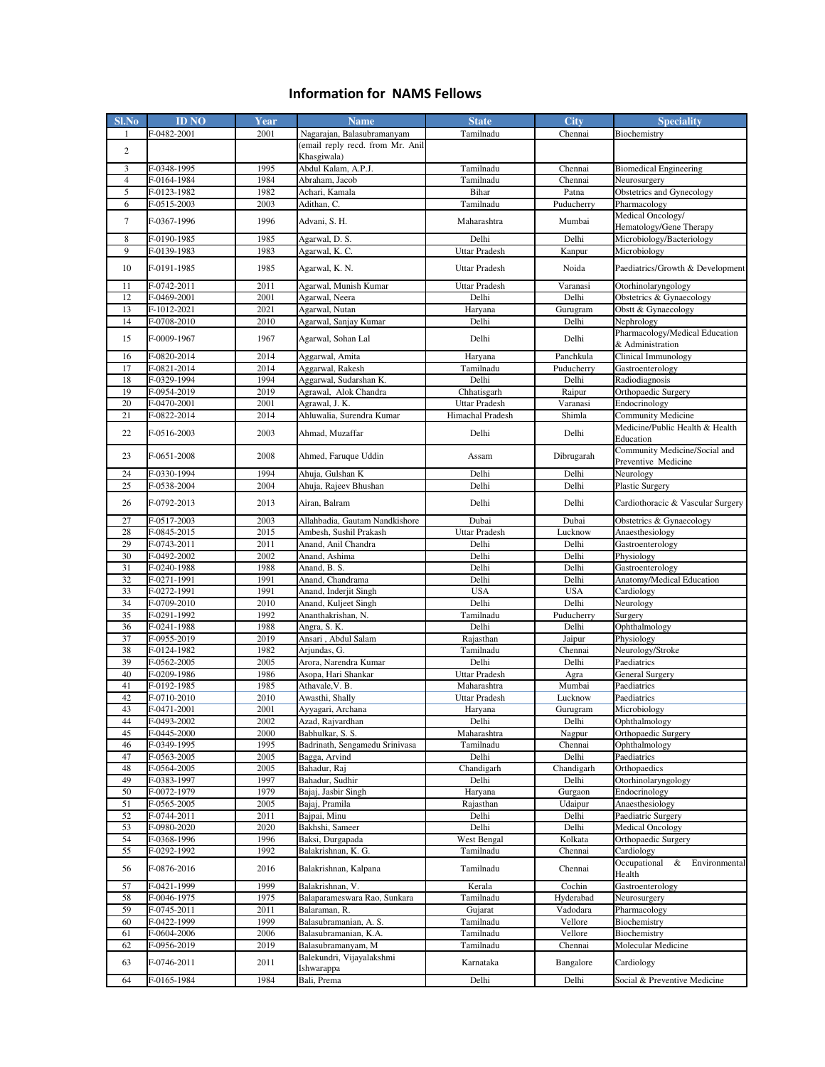## **Information for NAMS Fellows**

| <b>Sl.No</b>            | <b>ID NO</b>               | Year         | <b>Name</b>                                     | <b>State</b>                        | <b>City</b>         | <b>Speciality</b>                                    |
|-------------------------|----------------------------|--------------|-------------------------------------------------|-------------------------------------|---------------------|------------------------------------------------------|
| 1                       | F-0482-2001                | 2001         | Nagarajan, Balasubramanyam                      | Tamilnadu                           | Chennai             | Biochemistry                                         |
| $\overline{\mathbf{c}}$ |                            |              | (email reply recd. from Mr. Anil<br>Khasgiwala) |                                     |                     |                                                      |
| 3                       | F-0348-1995                | 1995         | Abdul Kalam, A.P.J.                             | Tamilnadu                           | Chennai             | <b>Biomedical Engineering</b>                        |
| $\overline{4}$          | F-0164-1984                | 1984         | Abraham, Jacob                                  | Tamilnadu                           | Chennai             | Neurosurgery                                         |
| 5                       | F-0123-1982                | 1982         | Achari, Kamala                                  | Bihar                               | Patna               | Obstetrics and Gynecology                            |
| 6                       | F-0515-2003                | 2003         | Adithan, C.                                     | Tamilnadu                           | Puducherry          | Pharmacology                                         |
| 7                       | F-0367-1996                | 1996         | Advani, S. H.                                   | Maharashtra                         | Mumbai              | Medical Oncology/<br>Hematology/Gene Therapy         |
| 8                       | F-0190-1985                | 1985         | Agarwal, D. S.                                  | Delhi                               | Delhi               | Microbiology/Bacteriology                            |
| 9                       | F-0139-1983                | 1983         | Agarwal, K. C.                                  | Uttar Pradesh                       | Kanpur              | Microbiology                                         |
| 10                      | F-0191-1985                | 1985         | Agarwal, K. N.                                  | <b>Uttar Pradesh</b>                | Noida               | Paediatrics/Growth & Development                     |
| 11                      | F-0742-2011                | 2011         | Agarwal, Munish Kumar                           | <b>Uttar Pradesh</b>                | Varanasi            | Otorhinolaryngology                                  |
| 12                      | F-0469-2001                | 2001         | Agarwal, Neera                                  | Delhi                               | Delhi               | Obstetrics & Gynaecology                             |
| 13                      | F-1012-2021                | 2021         | Agarwal, Nutan                                  | Haryana                             | Gurugram            | Obstt & Gynaecology                                  |
| 14                      | F-0708-2010                | 2010         | Agarwal, Sanjay Kumar                           | Delhi                               | Delhi               | Nephrology                                           |
| 15                      | F-0009-1967                | 1967         | Agarwal, Sohan Lal                              | Delhi                               | Delhi               | Pharmacology/Medical Education<br>& Administration   |
| 16                      | F-0820-2014                | 2014         | Aggarwal, Amita                                 | Haryana                             | Panchkula           | Clinical Immunology                                  |
| 17                      | F-0821-2014                | 2014         | Aggarwal, Rakesh                                | Tamilnadu                           | Puducherry          | Gastroenterology                                     |
| 18                      | F-0329-1994                | 1994         | Aggarwal, Sudarshan K.                          | Delhi                               | Delhi               | Radiodiagnosis                                       |
| 19<br>20                | F-0954-2019<br>F-0470-2001 | 2019<br>2001 | Agrawal, Alok Chandra<br>Agrawal, J. K.         | Chhatisgarh<br>Uttar Pradesh        | Raipur<br>Varanasi  | Orthopaedic Surgery<br>Endocrinology                 |
| 21                      | F-0822-2014                | 2014         | Ahluwalia, Surendra Kumar                       | Himachal Pradesh                    | Shimla              | Community Medicine                                   |
| 22                      | F-0516-2003                | 2003         | Ahmad, Muzaffar                                 | Delhi                               | Delhi               | Medicine/Public Health & Health<br>Education         |
| 23                      | F-0651-2008                | 2008         | Ahmed, Faruque Uddin                            | Assam                               | Dibrugarah          | Community Medicine/Social and<br>Preventive Medicine |
| 24                      | F-0330-1994                | 1994         | Ahuja, Gulshan K                                | Delhi                               | Delhi               | Neurology                                            |
| 25                      | F-0538-2004                | 2004         | Ahuja, Rajeev Bhushan                           | Delhi                               | Delhi               | Plastic Surgery                                      |
| 26                      | F-0792-2013                | 2013         | Airan, Balram                                   | Delhi                               | Delhi               | Cardiothoracic & Vascular Surgery                    |
| 27                      | F-0517-2003                | 2003         | Allahbadia, Gautam Nandkishore                  | Dubai                               | Dubai               | Obstetrics & Gynaecology                             |
| 28                      | F-0845-2015                | 2015         | Ambesh, Sushil Prakash                          | <b>Uttar Pradesh</b>                | Lucknow             | Anaesthesiology                                      |
| 29                      | F-0743-2011                | 2011         | Anand, Anil Chandra                             | Delhi                               | Delhi               | Gastroenterology                                     |
| 30                      | F-0492-2002                | 2002         | Anand, Ashima                                   | Delhi                               | Delhi               | Physiology                                           |
| 31                      | F-0240-1988                | 1988         | Anand, B. S.                                    | Delhi                               | Delhi               | Gastroenterology                                     |
| 32                      | F-0271-1991                | 1991<br>1991 | Anand, Chandrama                                | Delhi                               | Delhi               | Anatomy/Medical Education                            |
| 33<br>34                | F-0272-1991<br>F-0709-2010 | 2010         | Anand, Inderjit Singh<br>Anand, Kuljeet Singh   | <b>USA</b><br>Delhi                 | <b>USA</b><br>Delhi | Cardiology<br>Neurology                              |
| 35                      | F-0291-1992                | 1992         | Ananthakrishan, N.                              | Tamilnadu                           | Puducherry          | Surgery                                              |
| 36                      | F-0241-1988                | 1988         | Angra, S. K.                                    | Delhi                               | Delhi               | Ophthalmology                                        |
| 37                      | F-0955-2019                | 2019         | Ansari, Abdul Salam                             | Rajasthan                           | Jaipur              | Physiology                                           |
| 38                      | F-0124-1982                | 1982         | Arjundas, G.                                    | Tamilnadu                           | Chennai             | Neurology/Stroke                                     |
| 39                      | F-0562-2005                | 2005         | Arora, Narendra Kumar                           | Delhi                               | Delhi               | Paediatrics                                          |
| 40                      | F-0209-1986                | 1986         | Asopa, Hari Shankar                             | Uttar Pradesh                       | Agra                | General Surgery                                      |
| 41<br>42                | F-0192-1985<br>F-0710-2010 | 1985<br>2010 | Athavale, V. B.<br>Awasthi, Shally              | Maharashtra<br><b>Uttar Pradesh</b> | Mumbai<br>Lucknow   | Paediatrics<br>Paediatrics                           |
| 43                      | F-0471-2001                | 2001         | Ayyagari, Archana                               | Haryana                             | Gurugram            | Microbiology                                         |
| 44                      | F-0493-2002                | 2002         | Azad, Rajvardhan                                | Delhi                               | Delhi               | Ophthalmology                                        |
| 45                      | F-0445-2000                | 2000         | Babhulkar, S. S.                                | Maharashtra                         | Nagpur              | Orthopaedic Surgery                                  |
| 46                      | F-0349-1995                | 1995         | Badrinath, Sengamedu Srinivasa                  | Tamilnadu                           | Chennai             | Ophthalmology                                        |
| 47                      | F-0563-2005                | 2005         | Bagga, Arvind                                   | Delhi                               | Delhi               | Paediatrics                                          |
| 48                      | F-0564-2005                | 2005         | Bahadur, Raj                                    | Chandigarh                          | Chandigarh          | Orthopaedics                                         |
| 49                      | F-0383-1997                | 1997         | Bahadur, Sudhir                                 | Delhi                               | Delhi               | Otorhinolaryngology                                  |
| 50<br>51                | F-0072-1979<br>F-0565-2005 | 1979<br>2005 | Bajaj, Jasbir Singh<br>Bajaj, Pramila           | Haryana<br>Rajasthan                | Gurgaon<br>Udaipur  | Endocrinology<br>Anaesthesiology                     |
| 52                      | F-0744-2011                | 2011         | Bajpai, Minu                                    | Delhi                               | Delhi               | Paediatric Surgery                                   |
| 53                      | F-0980-2020                | 2020         | Bakhshi, Sameer                                 | Delhi                               | Delhi               | <b>Medical Oncology</b>                              |
| 54                      | F-0368-1996                | 1996         | Baksi, Durgapada                                | West Bengal                         | Kolkata             | Orthopaedic Surgery                                  |
| 55                      | F-0292-1992                | 1992         | Balakrishnan, K. G.                             | Tamilnadu                           | Chennai             | Cardiology                                           |
| 56                      | F-0876-2016                | 2016         | Balakrishnan, Kalpana                           | Tamilnadu                           | Chennai             | Occupational &<br>Environmental<br>Health            |
| 57                      | F-0421-1999                | 1999         | Balakrishnan, V.                                | Kerala                              | Cochin              | Gastroenterology                                     |
| 58                      | F-0046-1975                | 1975         | Balaparameswara Rao, Sunkara                    | Tamilnadu                           | Hyderabad           | Neurosurgery                                         |
| 59                      | F-0745-2011                | 2011         | Balaraman, R.                                   | Gujarat                             | Vadodara            | Pharmacology                                         |
| 60                      | F-0422-1999                | 1999         | Balasubramanian, A. S.                          | Tamilnadu                           | Vellore             | Biochemistry                                         |
| 61                      | F-0604-2006                | 2006         | Balasubramanian, K.A.                           | Tamilnadu                           | Vellore             | Biochemistry                                         |
| 62                      | F-0956-2019                | 2019         | Balasubramanyam, M<br>Balekundri, Vijayalakshmi | Tamilnadu                           | Chennai             | Molecular Medicine                                   |
| 63                      | F-0746-2011                | 2011         | Ishwarappa                                      | Karnataka                           | Bangalore           | Cardiology                                           |
| 64                      | F-0165-1984                | 1984         | Bali, Prema                                     | Delhi                               | Delhi               | Social & Preventive Medicine                         |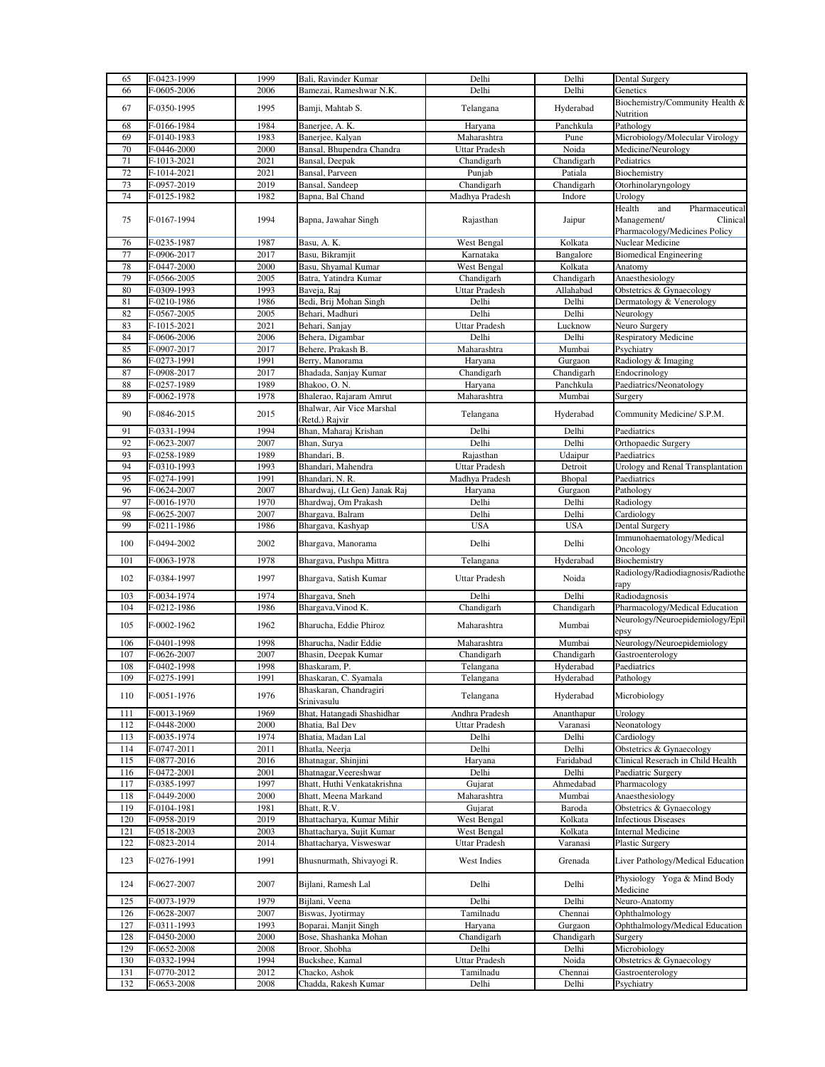| 65  | F-0423-1999 | 1999 | Bali, Ravinder Kumar         | Delhi                | Delhi      | <b>Dental Surgery</b>                          |
|-----|-------------|------|------------------------------|----------------------|------------|------------------------------------------------|
| 66  | F-0605-2006 | 2006 | Bamezai, Rameshwar N.K.      | Delhi                | Delhi      | Genetics                                       |
|     |             |      |                              |                      |            | Biochemistry/Community Health &                |
| 67  | F-0350-1995 | 1995 | Bamji, Mahtab S.             | Telangana            | Hyderabad  |                                                |
|     |             |      |                              |                      |            | Nutrition                                      |
| 68  | F-0166-1984 | 1984 | Banerjee, A. K.              | Haryana              | Panchkula  | Pathology                                      |
| 69  | F-0140-1983 | 1983 | Banerjee, Kalyan             | Maharashtra          | Pune       | Microbiology/Molecular Virology                |
| 70  | F-0446-2000 | 2000 | Bansal, Bhupendra Chandra    | Uttar Pradesh        | Noida      | Medicine/Neurology                             |
| 71  | F-1013-2021 | 2021 | Bansal, Deepak               | Chandigarh           | Chandigarh | Pediatrics                                     |
| 72  | F-1014-2021 | 2021 | Bansal, Parveen              | Punjab               | Patiala    | Biochemistry                                   |
| 73  | F-0957-2019 | 2019 | Bansal, Sandeep              | Chandigarh           | Chandigarh | Otorhinolaryngology                            |
| 74  | F-0125-1982 | 1982 | Bapna, Bal Chand             | Madhya Pradesh       | Indore     | Urology                                        |
|     |             |      |                              |                      |            | Health<br>and<br>Pharmaceutical                |
| 75  | F-0167-1994 | 1994 | Bapna, Jawahar Singh         | Rajasthan            | Jaipur     | Management/<br>Clinical                        |
|     |             |      |                              |                      |            | Pharmacology/Medicines Policy                  |
| 76  | F-0235-1987 | 1987 | Basu, A. K.                  | West Bengal          | Kolkata    | Nuclear Medicine                               |
| 77  | F-0906-2017 |      | Basu, Bikramjit              |                      |            |                                                |
|     |             | 2017 |                              | Karnataka            | Bangalore  | <b>Biomedical Engineering</b>                  |
| 78  | F-0447-2000 | 2000 | Basu, Shyamal Kumar          | West Bengal          | Kolkata    | Anatomy                                        |
| 79  | F-0566-2005 | 2005 | Batra, Yatindra Kumar        | Chandigarh           | Chandigarh | Anaesthesiology                                |
| 80  | F-0309-1993 | 1993 | Baveja, Raj                  | Uttar Pradesh        | Allahabad  | Obstetrics & Gynaecology                       |
| 81  | F-0210-1986 | 1986 | Bedi, Brij Mohan Singh       | Delhi                | Delhi      | Dermatology & Venerology                       |
| 82  | F-0567-2005 | 2005 | Behari, Madhuri              | Delhi                | Delhi      | Neurology                                      |
| 83  | F-1015-2021 | 2021 | Behari, Sanjay               | <b>Uttar Pradesh</b> | Lucknow    | Neuro Surgery                                  |
| 84  | F-0606-2006 | 2006 | Behera, Digambar             | Delhi                | Delhi      | <b>Respiratory Medicine</b>                    |
| 85  | F-0907-2017 | 2017 | Behere, Prakash B.           | Maharashtra          | Mumbai     | Psychiatry                                     |
| 86  | F-0273-1991 | 1991 | Berry, Manorama              | Haryana              | Gurgaon    | Radiology & Imaging                            |
| 87  | F-0908-2017 | 2017 | Bhadada, Sanjay Kumar        | Chandigarh           | Chandigarh | Endocrinology                                  |
| 88  | F-0257-1989 | 1989 | Bhakoo, O. N.                | Haryana              | Panchkula  | Paediatrics/Neonatology                        |
| 89  | F-0062-1978 | 1978 | Bhalerao, Rajaram Amrut      | Maharashtra          | Mumbai     | Surgery                                        |
|     |             |      | Bhalwar, Air Vice Marshal    |                      |            |                                                |
| 90  | F-0846-2015 | 2015 | (Retd.) Rajvir               | Telangana            | Hyderabad  | Community Medicine/ S.P.M.                     |
| 91  | F-0331-1994 | 1994 | Bhan, Maharaj Krishan        | Delhi                | Delhi      | Paediatrics                                    |
|     |             |      |                              |                      |            |                                                |
| 92  | F-0623-2007 | 2007 | Bhan, Surya                  | Delhi                | Delhi      | Orthopaedic Surgery                            |
| 93  | F-0258-1989 | 1989 | Bhandari, B.                 | Rajasthan            | Udaipur    | Paediatrics                                    |
| 94  | F-0310-1993 | 1993 | Bhandari, Mahendra           | <b>Uttar Pradesh</b> | Detroit    | Urology and Renal Transplantation              |
| 95  | F-0274-1991 | 1991 | Bhandari, N. R.              | Madhya Pradesh       | Bhopal     | Paediatrics                                    |
| 96  | F-0624-2007 | 2007 | Bhardwaj, (Lt Gen) Janak Raj | Haryana              | Gurgaon    | Pathology                                      |
| 97  | F-0016-1970 | 1970 | Bhardwaj, Om Prakash         | Delhi                | Delhi      | Radiology                                      |
| 98  | F-0625-2007 | 2007 | Bhargava, Balram             | Delhi                | Delhi      | Cardiology                                     |
| 99  | F-0211-1986 | 1986 | Bhargava, Kashyap            | <b>USA</b>           | <b>USA</b> | Dental Surgery                                 |
|     |             |      |                              |                      |            | Immunohaematology/Medical                      |
| 100 | F-0494-2002 | 2002 | Bhargava, Manorama           | Delhi                | Delhi      | Oncology                                       |
| 101 | F-0063-1978 | 1978 | Bhargava, Pushpa Mittra      | Telangana            | Hyderabad  | Biochemistry                                   |
|     |             |      |                              |                      |            | Radiology/Radiodiagnosis/Radiothe              |
| 102 | F-0384-1997 | 1997 | Bhargava, Satish Kumar       | <b>Uttar Pradesh</b> | Noida      | rapy                                           |
|     |             | 1974 | Bhargava, Sneh               | Delhi                | Delhi      | Radiodagnosis                                  |
|     |             |      |                              |                      |            |                                                |
| 103 | F-0034-1974 |      |                              |                      |            |                                                |
| 104 | F-0212-1986 | 1986 | Bhargava, Vinod K.           | Chandigarh           | Chandigarh | Pharmacology/Medical Education                 |
| 105 | F-0002-1962 | 1962 | Bharucha, Eddie Phiroz       | Maharashtra          | Mumbai     |                                                |
|     |             |      |                              |                      |            | epsy                                           |
| 106 | F-0401-1998 | 1998 | Bharucha, Nadir Eddie        | Maharashtra          | Mumbai     | Neurology/Neuroepidemiology                    |
| 107 | F-0626-2007 | 2007 | Bhasin, Deepak Kumar         | Chandigarh           | Chandigarh | Gastroenterology                               |
| 108 | F-0402-1998 | 1998 | Bhaskaram, P.                | Telangana            | Hyderabad  | Paediatrics                                    |
| 109 | F-0275-1991 | 1991 | Bhaskaran, C. Syamala        | Telangana            | Hyderabad  | Pathology                                      |
| 110 |             | 1976 | Bhaskaran, Chandragiri       |                      |            | Microbiology                                   |
|     | F-0051-1976 |      | Srinivasulu                  | Telangana            | Hyderabad  |                                                |
| 111 | F-0013-1969 | 1969 | Bhat, Hatangadi Shashidhar   | Andhra Pradesh       | Ananthapur | Urology                                        |
| 112 | F-0448-2000 | 2000 | Bhatia, Bal Dev              | Uttar Pradesh        | Varanasi   | Neonatology                                    |
| 113 | F-0035-1974 | 1974 | Bhatia, Madan Lal            | Delhi                | Delhi      | Neurology/Neuroepidemiology/Epil<br>Cardiology |
| 114 | F-0747-2011 | 2011 | Bhatla, Neerja               | Delhi                | Delhi      | Obstetrics & Gynaecology                       |
| 115 | F-0877-2016 | 2016 | Bhatnagar, Shinjini          | Haryana              | Faridabad  | Clinical Reserach in Child Health              |
| 116 | F-0472-2001 | 2001 | Bhatnagar, Veereshwar        | Delhi                | Delhi      | Paediatric Surgery                             |
| 117 | F-0385-1997 | 1997 | Bhatt, Huthi Venkatakrishna  | Gujarat              | Ahmedabad  | Pharmacology                                   |
| 118 | F-0449-2000 | 2000 | Bhatt, Meena Markand         | Maharashtra          | Mumbai     | Anaesthesiology                                |
| 119 | F-0104-1981 | 1981 | Bhatt, R.V.                  | Gujarat              | Baroda     |                                                |
|     |             | 2019 |                              |                      |            | Obstetrics & Gynaecology                       |
| 120 | F-0958-2019 |      | Bhattacharya, Kumar Mihir    | West Bengal          | Kolkata    | <b>Infectious Diseases</b>                     |
| 121 | F-0518-2003 | 2003 | Bhattacharya, Sujit Kumar    | West Bengal          | Kolkata    | <b>Internal Medicine</b>                       |
| 122 | F-0823-2014 | 2014 | Bhattacharya, Visweswar      | Uttar Pradesh        | Varanasi   | Plastic Surgery                                |
| 123 | F-0276-1991 | 1991 | Bhusnurmath, Shivayogi R.    | West Indies          | Grenada    | Liver Pathology/Medical Education              |
|     |             |      |                              |                      |            |                                                |
| 124 | F-0627-2007 | 2007 | Bijlani, Ramesh Lal          | Delhi                | Delhi      | Physiology Yoga & Mind Body                    |
|     |             |      |                              |                      |            | Medicine                                       |
| 125 | F-0073-1979 | 1979 | Bijlani, Veena               | Delhi                | Delhi      | Neuro-Anatomy                                  |
| 126 | F-0628-2007 | 2007 | Biswas, Jyotirmay            | Tamilnadu            | Chennai    | Ophthalmology                                  |
| 127 | F-0311-1993 | 1993 | Boparai, Manjit Singh        | Haryana              | Gurgaon    | Ophthalmology/Medical Education                |
| 128 | F-0450-2000 | 2000 | Bose, Shashanka Mohan        | Chandigarh           | Chandigarh | Surgery                                        |
| 129 | F-0652-2008 | 2008 | Broor, Shobha                | Delhi                | Delhi      | Microbiology                                   |
| 130 | F-0332-1994 | 1994 | Buckshee, Kamal              | Uttar Pradesh        | Noida      | Obstetrics & Gynaecology                       |
| 131 | F-0770-2012 | 2012 | Chacko, Ashok                | Tamilnadu            | Chennai    | Gastroenterology                               |
| 132 | F-0653-2008 | 2008 | Chadda, Rakesh Kumar         | Delhi                | Delhi      | Psychiatry                                     |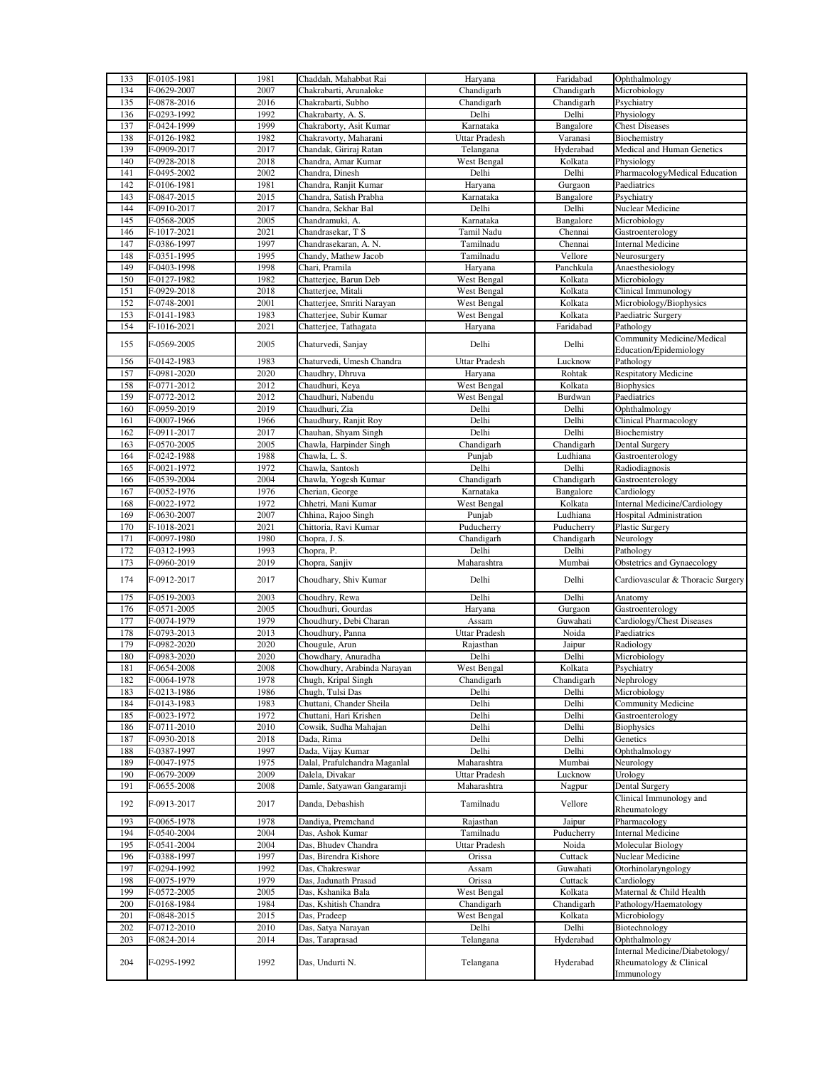| 133 | F-0105-1981 | 1981 | Chaddah, Mahabbat Rai         | Haryana              | Faridabad  | Ophthalmology                         |
|-----|-------------|------|-------------------------------|----------------------|------------|---------------------------------------|
|     |             |      |                               | Chandigarh           |            |                                       |
| 134 | F-0629-2007 | 2007 | Chakrabarti, Arunaloke        |                      | Chandigarh | Microbiology                          |
| 135 | F-0878-2016 | 2016 | Chakrabarti, Subho            | Chandigarh           | Chandigarh | Psychiatry                            |
| 136 | F-0293-1992 | 1992 | Chakrabarty, A. S.            | Delhi                | Delhi      | Physiology                            |
| 137 | F-0424-1999 | 1999 | Chakraborty, Asit Kumar       | Karnataka            | Bangalore  | <b>Chest Diseases</b>                 |
| 138 | F-0126-1982 | 1982 | Chakravorty, Maharani         | <b>Uttar Pradesh</b> | Varanasi   | Biochemistry                          |
|     |             |      |                               |                      |            |                                       |
| 139 | F-0909-2017 | 2017 | Chandak, Giriraj Ratan        | Telangana            | Hyderabad  | Medical and Human Genetics            |
| 140 | F-0928-2018 | 2018 | Chandra, Amar Kumar           | West Bengal          | Kolkata    | Physiology                            |
| 141 | F-0495-2002 | 2002 | Chandra, Dinesh               | Delhi                | Delhi      | Pharmacology/Medical Education        |
| 142 | F-0106-1981 | 1981 | Chandra, Ranjit Kumar         | Haryana              | Gurgaon    | Paediatrics                           |
|     |             |      |                               |                      |            |                                       |
| 143 | F-0847-2015 | 2015 | Chandra, Satish Prabha        | Karnataka            | Bangalore  | Psychiatry                            |
| 144 | F-0910-2017 | 2017 | Chandra, Sekhar Bal           | Delhi                | Delhi      | Nuclear Medicine                      |
| 145 | F-0568-2005 | 2005 | Chandramuki, A.               | Karnataka            | Bangalore  | Microbiology                          |
| 146 | F-1017-2021 | 2021 | Chandrasekar, T S             | Tamil Nadu           | Chennai    | Gastroenterology                      |
| 147 | F-0386-1997 | 1997 | Chandrasekaran, A. N.         | Tamilnadu            | Chennai    | <b>Internal Medicine</b>              |
|     |             | 1995 |                               |                      |            |                                       |
| 148 | F-0351-1995 |      | Chandy, Mathew Jacob          | Tamilnadu            | Vellore    | Neurosurgery                          |
| 149 | F-0403-1998 | 1998 | Chari, Pramila                | Haryana              | Panchkula  | Anaesthesiology                       |
| 150 | F-0127-1982 | 1982 | Chatterjee, Barun Deb         | West Bengal          | Kolkata    | Microbiology                          |
| 151 | F-0929-2018 | 2018 | Chatterjee, Mitali            | West Bengal          | Kolkata    | Clinical Immunology                   |
| 152 | F-0748-2001 | 2001 | Chatterjee, Smriti Narayan    | West Bengal          | Kolkata    | Microbiology/Biophysics               |
| 153 | F-0141-1983 | 1983 | Chatterjee, Subir Kumar       | West Bengal          | Kolkata    | Paediatric Surgery                    |
|     |             |      |                               |                      |            |                                       |
| 154 | F-1016-2021 | 2021 | Chatterjee, Tathagata         | Haryana              | Faridabad  | Pathology                             |
| 155 | F-0569-2005 | 2005 | Chaturvedi, Sanjay            | Delhi                | Delhi      | Community Medicine/Medical            |
|     |             |      |                               |                      |            | <b>Education/Epidemiology</b>         |
| 156 | F-0142-1983 | 1983 | Chaturvedi, Umesh Chandra     | Uttar Pradesh        | Lucknow    | Pathology                             |
| 157 | F-0981-2020 | 2020 | Chaudhry, Dhruva              | Haryana              | Rohtak     | <b>Respitatory Medicine</b>           |
| 158 | F-0771-2012 | 2012 | Chaudhuri, Keya               | West Bengal          | Kolkata    | <b>Biophysics</b>                     |
| 159 | F-0772-2012 | 2012 | Chaudhuri, Nabendu            | West Bengal          | Burdwan    | Paediatrics                           |
|     |             |      |                               |                      |            |                                       |
| 160 | F-0959-2019 | 2019 | Chaudhuri, Zia                | Delhi                | Delhi      | Ophthalmology                         |
| 161 | F-0007-1966 | 1966 | Chaudhury, Ranjit Roy         | Delhi                | Delhi      | <b>Clinical Pharmacology</b>          |
| 162 | F-0911-2017 | 2017 | Chauhan, Shyam Singh          | Delhi                | Delhi      | Biochemistry                          |
| 163 | F-0570-2005 | 2005 | Chawla, Harpinder Singh       | Chandigarh           | Chandigarh | Dental Surgery                        |
| 164 | F-0242-1988 | 1988 | Chawla, L. S.                 | Punjab               | Ludhiana   | Gastroenterology                      |
| 165 | F-0021-1972 | 1972 | Chawla, Santosh               | Delhi                | Delhi      | Radiodiagnosis                        |
|     |             |      |                               |                      |            |                                       |
| 166 | F-0539-2004 | 2004 | Chawla, Yogesh Kumar          | Chandigarh           | Chandigarh | Gastroenterology                      |
| 167 | F-0052-1976 | 1976 | Cherian, George               | Karnataka            | Bangalore  | Cardiology                            |
| 168 | F-0022-1972 | 1972 | Chhetri, Mani Kumar           | West Bengal          | Kolkata    | Internal Medicine/Cardiology          |
| 169 | F-0630-2007 | 2007 | Chhina, Rajoo Singh           | Punjab               | Ludhiana   | Hospital Administration               |
| 170 | F-1018-2021 |      |                               |                      |            |                                       |
|     |             |      |                               |                      |            |                                       |
|     |             | 2021 | Chittoria, Ravi Kumar         | Puducherry           | Puducherry | Plastic Surgery                       |
| 171 | F-0097-1980 | 1980 | Chopra, J. S.                 | Chandigarh           | Chandigarh | Neurology                             |
| 172 | F-0312-1993 | 1993 | Chopra, P.                    | Delhi                | Delhi      | Pathology                             |
| 173 | F-0960-2019 | 2019 | Chopra, Sanjiv                | Maharashtra          | Mumbai     | Obstetrics and Gynaecology            |
|     |             |      |                               |                      |            |                                       |
| 174 | F-0912-2017 | 2017 | Choudhary, Shiv Kumar         | Delhi                | Delhi      | Cardiovascular & Thoracic Surgery     |
|     |             |      |                               |                      |            | Anatomy                               |
| 175 | F-0519-2003 | 2003 | Choudhry, Rewa                | Delhi                | Delhi      |                                       |
| 176 | F-0571-2005 | 2005 | Choudhuri, Gourdas            | Haryana              | Gurgaon    | Gastroenterology                      |
| 177 | F-0074-1979 | 1979 | Choudhury, Debi Charan        | Assam                | Guwahati   | Cardiology/Chest Diseases             |
| 178 | F-0793-2013 | 2013 | Choudhury, Panna              | Uttar Pradesh        | Noida      | Paediatrics                           |
| 179 | F-0982-2020 | 2020 | Chougule, Arun                | Rajasthan            | Jaipur     | Radiology                             |
| 180 | F-0983-2020 | 2020 | Chowdhary, Anuradha           | Delhi                | Delhi      | Microbiology                          |
|     |             | 2008 |                               |                      |            |                                       |
| 181 | F-0654-2008 |      | Chowdhury, Arabinda Narayan   | West Bengal          | Kolkata    | Psychiatry                            |
| 182 | F-0064-1978 | 1978 | Chugh, Kripal Singh           | Chandigarh           | Chandigarh | Nephrology                            |
| 183 | F-0213-1986 | 1986 | Chugh, Tulsi Das              | Delhi                | Delhi      | Microbiology                          |
| 184 | F-0143-1983 | 1983 | Chuttani, Chander Sheila      | Delhi                | Delhi      | Community Medicine                    |
| 185 | F-0023-1972 | 1972 | Chuttani, Hari Krishen        | Delhi                | Delhi      | Gastroenterology                      |
| 186 | F-0711-2010 | 2010 | Cowsik, Sudha Mahajan         | Delhi                | Delhi      | <b>Biophysics</b>                     |
| 187 | F-0930-2018 | 2018 | Dada, Rima                    | Delhi                | Delhi      | Genetics                              |
|     |             |      |                               | Delhi                |            | Ophthalmology                         |
| 188 | F-0387-1997 | 1997 | Dada, Vijay Kumar             |                      | Delhi      |                                       |
| 189 | F-0047-1975 | 1975 | Dalal, Prafulchandra Maganlal | Maharashtra          | Mumbai     | Neurology                             |
| 190 | F-0679-2009 | 2009 | Dalela, Divakar               | Uttar Pradesh        | Lucknow    | Urology                               |
| 191 | F-0655-2008 | 2008 | Damle, Satyawan Gangaramji    | Maharashtra          | Nagpur     | <b>Dental Surgery</b>                 |
|     |             |      |                               |                      |            | Clinical Immunology and               |
| 192 | F-0913-2017 | 2017 | Danda, Debashish              | Tamilnadu            | Vellore    | Rheumatology                          |
| 193 | F-0065-1978 | 1978 | Dandiya, Premchand            | Rajasthan            | Jaipur     | Pharmacology                          |
| 194 | F-0540-2004 | 2004 | Das, Ashok Kumar              | Tamilnadu            | Puducherry | <b>Internal Medicine</b>              |
|     |             |      |                               |                      |            |                                       |
| 195 | F-0541-2004 | 2004 | Das, Bhudev Chandra           | Uttar Pradesh        | Noida      | <b>Molecular Biology</b>              |
| 196 | F-0388-1997 | 1997 | Das, Birendra Kishore         | Orissa               | Cuttack    | Nuclear Medicine                      |
| 197 | F-0294-1992 | 1992 | Das, Chakreswar               | Assam                | Guwahati   | Otorhinolaryngology                   |
| 198 | F-0075-1979 | 1979 | Das, Jadunath Prasad          | Orissa               | Cuttack    | Cardiology                            |
| 199 | F-0572-2005 | 2005 | Das, Kshanika Bala            | West Bengal          | Kolkata    | Maternal & Child Health               |
| 200 | F-0168-1984 | 1984 | Das, Kshitish Chandra         | Chandigarh           | Chandigarh | Pathology/Haematology                 |
|     |             | 2015 |                               |                      |            |                                       |
| 201 | F-0848-2015 |      | Das, Pradeep                  | West Bengal          | Kolkata    | Microbiology                          |
| 202 | F-0712-2010 | 2010 | Das, Satya Narayan            | Delhi                | Delhi      | Biotechnology                         |
| 203 | F-0824-2014 | 2014 | Das, Taraprasad               | Telangana            | Hyderabad  | Ophthalmology                         |
|     |             |      |                               |                      |            | Internal Medicine/Diabetology/        |
| 204 | F-0295-1992 | 1992 | Das, Undurti N.               | Telangana            | Hyderabad  | Rheumatology & Clinical<br>Immunology |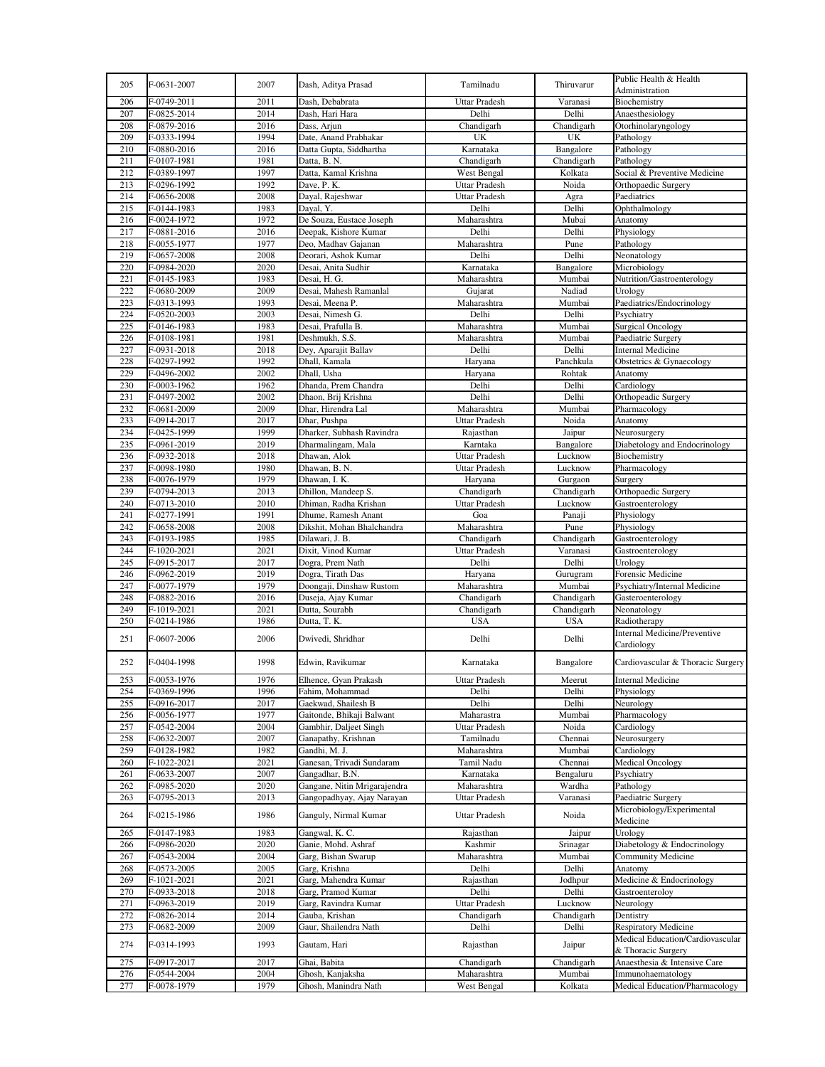| 205        | F-0631-2007                | 2007         | Dash, Aditya Prasad                      | Tamilnadu                  | Thiruvarur        | Public Health & Health<br>Administration                        |
|------------|----------------------------|--------------|------------------------------------------|----------------------------|-------------------|-----------------------------------------------------------------|
| 206        | F-0749-2011                | 2011         | Dash, Debabrata                          | <b>Uttar Pradesh</b>       | Varanasi          | Biochemistry                                                    |
| 207        | F-0825-2014                | 2014         | Dash, Hari Hara                          | Delhi                      | Delhi             | Anaesthesiology                                                 |
| 208        | F-0879-2016                | 2016         | Dass, Arjun                              | Chandigarh                 | Chandigarh        | Otorhinolaryngology                                             |
| 209        | F-0333-1994                | 1994         | Date, Anand Prabhakar                    | UK                         | UK                | Pathology                                                       |
| 210        | F-0880-2016                | 2016         | Datta Gupta, Siddhartha                  | Karnataka                  | Bangalore         | Pathology                                                       |
| 211        | F-0107-1981                | 1981         | Datta, B. N.                             | Chandigarh                 | Chandigarh        | Pathology                                                       |
| 212        | F-0389-1997                | 1997         | Datta, Kamal Krishna                     | West Bengal                | Kolkata           | Social & Preventive Medicine                                    |
| 213        | F-0296-1992                | 1992         | Dave, P. K.                              | <b>Uttar Pradesh</b>       | Noida             | Orthopaedic Surgery                                             |
| 214        | F-0656-2008                | 2008         | Dayal, Rajeshwar                         | <b>Uttar Pradesh</b>       | Agra              | Paediatrics                                                     |
| 215        | F-0144-1983                | 1983         | Dayal, Y.                                | Delhi                      | Delhi             | Ophthalmology                                                   |
| 216        | F-0024-1972                | 1972         | De Souza, Eustace Joseph                 | Maharashtra                | Mubai             | Anatomy                                                         |
| 217        | F-0881-2016                | 2016         | Deepak, Kishore Kumar                    | Delhi                      | Delhi             | Physiology                                                      |
| 218        | F-0055-1977                | 1977         | Deo, Madhav Gajanan                      | Maharashtra                | Pune              | Pathology                                                       |
| 219        | F-0657-2008                | 2008         | Deorari, Ashok Kumar                     | Delhi                      | Delhi             | Neonatology                                                     |
| 220        | F-0984-2020                | 2020         | Desai, Anita Sudhir                      | Karnataka                  | Bangalore         | Microbiology                                                    |
| 221        | F-0145-1983                | 1983         | Desai, H. G.                             | Maharashtra                | Mumbai            | Nutrition/Gastroenterology                                      |
| 222        | F-0680-2009                | 2009         | Desai, Mahesh Ramanlal                   | Gujarat                    | Nadiad            | Urology                                                         |
| 223        | F-0313-1993                | 1993         | Desai, Meena P.                          | Maharashtra                | Mumbai            | Paediatrics/Endocrinology                                       |
| 224        | F-0520-2003                | 2003         | Desai, Nimesh G.                         | Delhi                      | Delhi             | Psychiatry                                                      |
| 225        | F-0146-1983                | 1983         | Desai, Prafulla B.                       | Maharashtra                | Mumbai            | <b>Surgical Oncology</b>                                        |
| 226        | F-0108-1981                | 1981         | Deshmukh, S.S.                           | Maharashtra                | Mumbai            | Paediatric Surgery                                              |
| 227        | F-0931-2018                | 2018         | Dey, Aparajit Ballav                     | Delhi                      | Delhi             | <b>Internal Medicine</b>                                        |
| 228        | F-0297-1992                | 1992         | Dhall, Kamala                            | Haryana                    | Panchkula         | Obstetrics & Gynaecology                                        |
| 229        | F-0496-2002                | 2002         | Dhall, Usha                              | Haryana                    | Rohtak            | Anatomy                                                         |
| 230        | F-0003-1962                | 1962         | Dhanda, Prem Chandra                     | Delhi                      | Delhi             | Cardiology                                                      |
| 231        | F-0497-2002                | 2002         | Dhaon, Brij Krishna                      | Delhi                      | Delhi             | Orthopeadic Surgery                                             |
| 232        | F-0681-2009                | 2009         | Dhar, Hirendra Lal                       | Maharashtra                | Mumbai            | Pharmacology                                                    |
| 233        | F-0914-2017                | 2017         | Dhar, Pushpa                             | <b>Uttar Pradesh</b>       | Noida             | Anatomy                                                         |
| 234        | F-0425-1999                | 1999         | Dharker, Subhash Ravindra                | Rajasthan                  | Jaipur            | Neurosurgery                                                    |
| 235        | F-0961-2019                | 2019         | Dharmalingam, Mala                       | Karntaka                   | Bangalore         | Diabetology and Endocrinology                                   |
| 236        | F-0932-2018                | 2018         | Dhawan, Alok                             | Uttar Pradesh              | Lucknow           | Biochemistry                                                    |
| 237        |                            | 1980         |                                          |                            |                   | Pharmacology                                                    |
|            | F-0098-1980                |              | Dhawan, B. N.                            | Uttar Pradesh              | Lucknow           |                                                                 |
| 238        | F-0076-1979                | 1979         | Dhawan, I. K.                            | Haryana                    | Gurgaon           | Surgery                                                         |
| 239        | F-0794-2013                | 2013         | Dhillon, Mandeep S.                      | Chandigarh                 | Chandigarh        | Orthopaedic Surgery                                             |
| 240        | F-0713-2010                | 2010         | Dhiman, Radha Krishan                    | <b>Uttar Pradesh</b>       | Lucknow           | Gastroenterology                                                |
| 241        | F-0277-1991                | 1991         | Dhume, Ramesh Anant                      | Goa                        | Panaji            | Physiology                                                      |
| 242        | F-0658-2008                | 2008         | Dikshit, Mohan Bhalchandra               | Maharashtra                | Pune              | Physiology                                                      |
| 243        |                            |              |                                          |                            |                   |                                                                 |
|            | F-0193-1985                | 1985         | Dilawari, J. B.                          | Chandigarh                 | Chandigarh        | Gastroenterology                                                |
| 244        | F-1020-2021                | 2021         | Dixit, Vinod Kumar                       | <b>Uttar Pradesh</b>       | Varanasi          | Gastroenterology                                                |
| 245        | F-0915-2017                | 2017         | Dogra, Prem Nath                         | Delhi                      | Delhi             | Urology                                                         |
| 246        | F-0962-2019                | 2019         | Dogra, Tirath Das                        | Haryana                    | Gurugram          | Forensic Medicine                                               |
| 247        | F-0077-1979                | 1979         | Doongaji, Dinshaw Rustom                 | Maharashtra                | Mumbai            | Psychiatry/Internal Medicine                                    |
| 248        | F-0882-2016                | 2016         | Duseja, Ajay Kumar                       | Chandigarh                 | Chandigarh        | Gasteroenterology                                               |
| 249        | F-1019-2021                | 2021         | Dutta, Sourabh                           | Chandigarh                 | Chandigarh        | Neonatology                                                     |
| 250        | F-0214-1986                | 1986         | Dutta, T. K.                             | <b>USA</b>                 | <b>USA</b>        | Radiotherapy                                                    |
| 251        | F-0607-2006                | 2006         | Dwivedi, Shridhar                        | Delhi                      | Delhi             | <b>Internal Medicine/Preventive</b><br>Cardiology               |
| 252        | F-0404-1998                | 1998         | Edwin, Ravikumar                         | Karnataka                  | Bangalore         | Cardiovascular & Thoracic Surgery                               |
| 253        | F-0053-1976                | 1976         | Elhence, Gyan Prakash                    | Uttar Pradesh              | Meerut            | Internal Medicine                                               |
| 254        | F-0369-1996                | 1996         | Fahim, Mohammad                          | Delhi                      | Delhi             | Physiology                                                      |
| 255        | F-0916-2017                | 2017         | Gaekwad, Shailesh B                      | Delhi                      | Delhi             | Neurology                                                       |
| 256        | F-0056-1977                | 1977         | Gaitonde, Bhikaji Balwant                | Maharastra                 | Mumbai            | Pharmacology                                                    |
| 257        | F-0542-2004                | 2004         | Gambhir, Daljeet Singh                   | Uttar Pradesh              | Noida             | Cardiology                                                      |
| 258        | F-0632-2007                | 2007         | Ganapathy, Krishnan                      | Tamilnadu                  | Chennai           | Neurosurgery                                                    |
| 259        | F-0128-1982                | 1982         | Gandhi, M. J.                            | Maharashtra                | Mumbai            | Cardiology                                                      |
| 260        | F-1022-2021                | 2021         | Ganesan, Trivadi Sundaram                | Tamil Nadu                 | Chennai           | <b>Medical Oncology</b>                                         |
| 261        | F-0633-2007                | 2007         | Gangadhar, B.N.                          | Karnataka                  | Bengaluru         | Psychiatry                                                      |
| 262        | F-0985-2020                | 2020         | Gangane, Nitin Mrigarajendra             | Maharashtra                | Wardha            | Pathology                                                       |
| 263        | F-0795-2013                | 2013         | Gangopadhyay, Ajay Narayan               | Uttar Pradesh              | Varanasi          | Paediatric Surgery                                              |
| 264        | F-0215-1986                | 1986         | Ganguly, Nirmal Kumar                    | <b>Uttar Pradesh</b>       | Noida             | Microbiology/Experimental<br>Medicine                           |
| 265        | F-0147-1983                | 1983         | Gangwal, K. C.                           | Rajasthan                  | Jaipur            | Urology                                                         |
| 266        | F-0986-2020                | 2020         | Ganie, Mohd. Ashraf                      | Kashmir                    | Srinagar          | Diabetology & Endocrinology                                     |
| 267        | F-0543-2004                | 2004         | Garg, Bishan Swarup                      | Maharashtra                | Mumbai            | Community Medicine                                              |
| 268        | F-0573-2005                | 2005         | Garg, Krishna                            | Delhi                      | Delhi             | Anatomy                                                         |
| 269        |                            | 2021         | Garg, Mahendra Kumar                     |                            | Jodhpur           | Medicine & Endocrinology                                        |
|            | F-1021-2021                | 2018         |                                          | Rajasthan<br>Delhi         |                   |                                                                 |
| 270        | F-0933-2018                |              | Garg, Pramod Kumar                       |                            | Delhi             | Gastroenteroloy                                                 |
| 271        | F-0963-2019                | 2019         | Garg, Ravindra Kumar                     | <b>Uttar Pradesh</b>       | Lucknow           | Neurology                                                       |
| 272        | F-0826-2014                | 2014         | Gauba, Krishan                           | Chandigarh                 | Chandigarh        | Dentistry                                                       |
| 273<br>274 | F-0682-2009<br>F-0314-1993 | 2009<br>1993 | Gaur, Shailendra Nath<br>Gautam, Hari    | Delhi                      | Delhi             | <b>Respiratory Medicine</b><br>Medical Education/Cardiovascular |
|            |                            |              |                                          | Rajasthan                  | Jaipur            | & Thoracic Surgery                                              |
| 275        | F-0917-2017                | 2017         | Ghai, Babita                             | Chandigarh                 | Chandigarh        | Anaesthesia & Intensive Care                                    |
| 276<br>277 | F-0544-2004<br>F-0078-1979 | 2004<br>1979 | Ghosh, Kanjaksha<br>Ghosh, Manindra Nath | Maharashtra<br>West Bengal | Mumbai<br>Kolkata | Immunohaematology<br>Medical Education/Pharmacology             |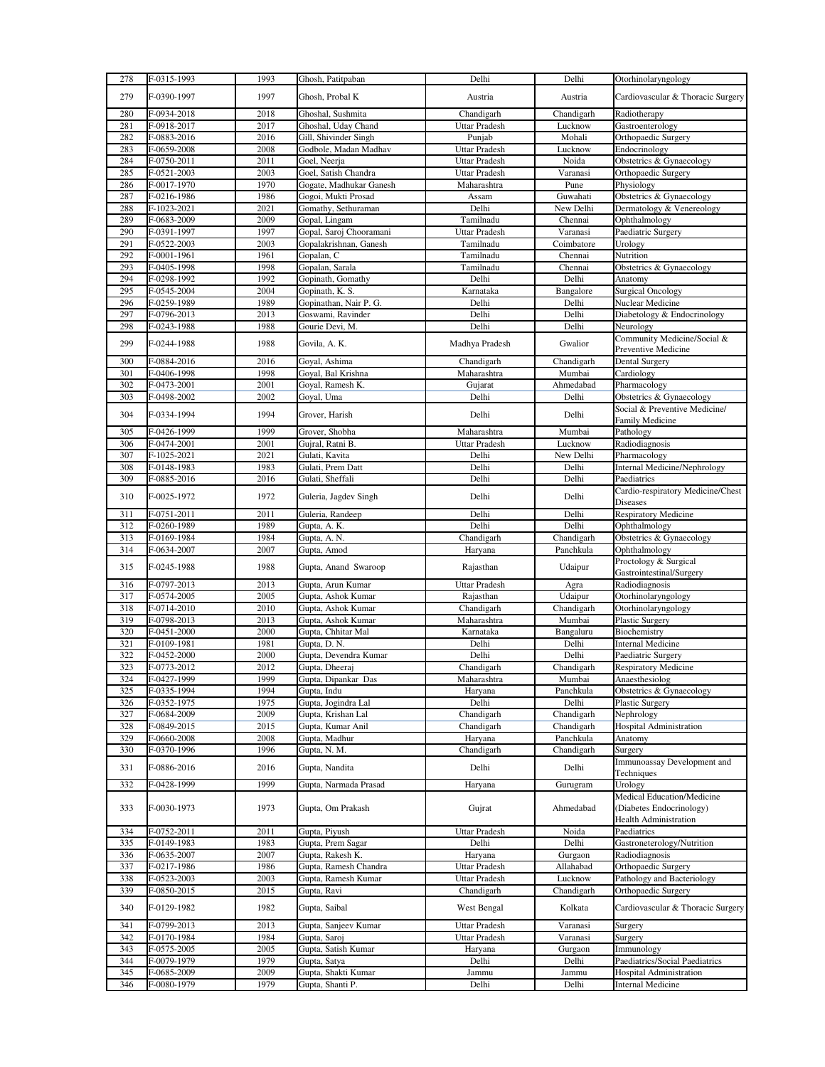| 278        | F-0315-1993                | 1993         | Ghosh, Patitpaban                         | Delhi                | Delhi                | Otorhinolaryngology                                                                    |
|------------|----------------------------|--------------|-------------------------------------------|----------------------|----------------------|----------------------------------------------------------------------------------------|
| 279        | F-0390-1997                | 1997         | Ghosh, Probal K                           | Austria              | Austria              | Cardiovascular & Thoracic Surgery                                                      |
| 280        | F-0934-2018                | 2018         | Ghoshal, Sushmita                         | Chandigarh           | Chandigarh           | Radiotherapy                                                                           |
| 281        | F-0918-2017                | 2017         | Ghoshal, Uday Chand                       | Uttar Pradesh        | Lucknow              | Gastroenterology                                                                       |
| 282        | F-0883-2016                | 2016         | Gill, Shivinder Singh                     | Punjab               | Mohali               | Orthopaedic Surgery                                                                    |
| 283        | F-0659-2008                | 2008         | Godbole, Madan Madhav                     | Uttar Pradesh        | Lucknow              | Endocrinology                                                                          |
| 284        | F-0750-2011                | 2011         | Goel, Neerja                              | Uttar Pradesh        | Noida                | Obstetrics & Gynaecology                                                               |
| 285        | F-0521-2003                | 2003         | Goel, Satish Chandra                      | <b>Uttar Pradesh</b> | Varanasi             | Orthopaedic Surgery                                                                    |
| 286        | F-0017-1970                | 1970         | Gogate, Madhukar Ganesh                   | Maharashtra          | Pune                 | Physiology                                                                             |
| 287        | F-0216-1986                | 1986         | Gogoi, Mukti Prosad                       | Assam                | Guwahati             | Obstetrics & Gynaecology                                                               |
| 288        | F-1023-2021                | 2021         | Gomathy, Sethuraman                       | Delhi                | New Delhi            | Dermatology & Venereology                                                              |
| 289        | F-0683-2009                | 2009         | Gopal, Lingam                             | Tamilnadu            | Chennai              | Ophthalmology                                                                          |
| 290        | F-0391-1997                | 1997         | Gopal, Saroj Chooramani                   | Uttar Pradesh        | Varanasi             | Paediatric Surgery                                                                     |
| 291        | F-0522-2003                | 2003         | Gopalakrishnan, Ganesh                    | Tamilnadu            | Coimbatore           | Urology                                                                                |
| 292        | F-0001-1961                | 1961         | Gopalan, C                                | Tamilnadu            | Chennai              | Nutrition                                                                              |
| 293<br>294 | F-0405-1998                | 1998         | Gopalan, Sarala                           | Tamilnadu            | Chennai              | Obstetrics & Gynaecology                                                               |
| 295        | F-0298-1992                | 1992<br>2004 | Gopinath, Gomathy                         | Delhi                | Delhi                | Anatomy<br><b>Surgical Oncology</b>                                                    |
| 296        | F-0545-2004<br>F-0259-1989 | 1989         | Gopinath, K. S.<br>Gopinathan, Nair P. G. | Karnataka<br>Delhi   | Bangalore<br>Delhi   | Nuclear Medicine                                                                       |
|            |                            |              |                                           |                      |                      |                                                                                        |
| 297        | F-0796-2013                | 2013         | Goswami, Ravinder                         | Delhi<br>Delhi       | Delhi                | Diabetology & Endocrinology                                                            |
| 298        | F-0243-1988                | 1988         | Gourie Devi, M.                           |                      | Delhi                | Neurology<br>Community Medicine/Social &                                               |
| 299        | F-0244-1988                | 1988         | Govila, A. K.                             | Madhya Pradesh       | Gwalior              | Preventive Medicine                                                                    |
| 300        | F-0884-2016                | 2016         | Goval, Ashima                             | Chandigarh           | Chandigarh           | Dental Surgery                                                                         |
| 301        | F-0406-1998                | 1998         | Goyal, Bal Krishna                        | Maharashtra          | Mumbai               | Cardiology                                                                             |
| 302        | F-0473-2001                | 2001         | Goyal, Ramesh K.                          | Gujarat              | Ahmedabad            | Pharmacology                                                                           |
| 303        | F-0498-2002                | 2002         | Goyal, Uma                                | Delhi                | Delhi                | Obstetrics & Gynaecology                                                               |
| 304        | F-0334-1994                | 1994         | Grover, Harish                            | Delhi                | Delhi                | Social & Preventive Medicine/<br>Family Medicine                                       |
| 305        | F-0426-1999                | 1999         | Grover, Shobha                            | Maharashtra          | Mumbai               | Pathology                                                                              |
| 306        | F-0474-2001                | 2001         | Gujral, Ratni B.                          | <b>Uttar Pradesh</b> | Lucknow              | Radiodiagnosis                                                                         |
| 307        | F-1025-2021                | 2021         | Gulati, Kavita                            | Delhi                | New Delhi            | Pharmacology                                                                           |
| 308        | F-0148-1983                | 1983         | Gulati, Prem Datt                         | Delhi                | Delhi                | <b>Internal Medicine/Nephrology</b>                                                    |
| 309        | F-0885-2016                | 2016         | Gulati, Sheffali                          | Delhi                | Delhi                | Paediatrics                                                                            |
| 310        | F-0025-1972                | 1972         | Guleria, Jagdev Singh                     | Delhi                | Delhi                | Cardio-respiratory Medicine/Chest                                                      |
|            |                            |              |                                           |                      |                      | Diseases                                                                               |
|            |                            |              |                                           |                      |                      |                                                                                        |
| 311        | F-0751-2011                | 2011         | Guleria, Randeep                          | Delhi                | Delhi                | <b>Respiratory Medicine</b>                                                            |
| 312        | F-0260-1989                | 1989         | Gupta, A. K.                              | Delhi                | Delhi                | Ophthalmology                                                                          |
| 313        | F-0169-1984                | 1984         | Gupta, A. N.                              | Chandigarh           | Chandigarh           | Obstetrics & Gynaecology                                                               |
| 314<br>315 | F-0634-2007<br>F-0245-1988 | 2007<br>1988 | Gupta, Amod<br>Gupta, Anand Swaroop       | Haryana<br>Rajasthan | Panchkula<br>Udaipur | Ophthalmology<br>Proctology & Surgical                                                 |
|            |                            |              |                                           |                      |                      | Gastrointestinal/Surgery                                                               |
| 316        | F-0797-2013                | 2013         | Gupta, Arun Kumar                         | <b>Uttar Pradesh</b> | Agra                 | Radiodiagnosis                                                                         |
| 317        | F-0574-2005                | 2005         | Gupta, Ashok Kumar                        | Rajasthan            | Udaipur              | Otorhinolaryngology                                                                    |
| 318        | F-0714-2010                | 2010         | Gupta, Ashok Kumar                        | Chandigarh           | Chandigarh           | Otorhinolaryngology                                                                    |
| 319        | F-0798-2013                | 2013         | Gupta, Ashok Kumar                        | Maharashtra          | Mumbai               | Plastic Surgery                                                                        |
| 320        | F-0451-2000                | 2000         | Gupta, Chhitar Mal                        | Karnataka            | Bangaluru            | Biochemistry                                                                           |
| 321        | F-0109-1981                | 1981         | Gupta, D. N.                              | Delhi                | Delhi                | <b>Internal Medicine</b>                                                               |
| 322<br>323 | F-0452-2000<br>F-0773-2012 | 2000<br>2012 | Gupta, Devendra Kumar<br>Gupta, Dheeraj   | Delhi<br>Chandigarh  | Delhi<br>Chandigarh  | Paediatric Surgery                                                                     |
| 324        | F-0427-1999                | 1999         |                                           |                      |                      | <b>Respiratory Medicine</b><br>Anaesthesiolog                                          |
| 325        | F-0335-1994                | 1994         | Gupta, Dipankar Das<br>Gupta, Indu        | Maharashtra          | Mumbai<br>Panchkula  | Obstetrics & Gynaecology                                                               |
| 326        | F-0352-1975                | 1975         | Gupta, Jogindra Lal                       | Haryana<br>Delhi     | Delhi                | Plastic Surgery                                                                        |
| 327        | F-0684-2009                | 2009         | Gupta, Krishan Lal                        | Chandigarh           | Chandigarh           | Nephrology                                                                             |
| 328        | F-0849-2015                | 2015         | Gupta, Kumar Anil                         | Chandigarh           | Chandigarh           | Hospital Administration                                                                |
| 329        | F-0660-2008                | 2008         | Gupta, Madhur                             | Haryana              | Panchkula            | Anatomy                                                                                |
| 330        | F-0370-1996                | 1996         | Gupta, N. M.                              | Chandigarh           | Chandigarh           | Surgery                                                                                |
| 331        | F-0886-2016                | 2016         | Gupta, Nandita                            | Delhi                | Delhi                | Immunoassay Development and                                                            |
| 332        | F-0428-1999                | 1999         | Gupta, Narmada Prasad                     | Haryana              | Gurugram             | Techniques<br>Urology                                                                  |
| 333        | F-0030-1973                | 1973         | Gupta, Om Prakash                         | Gujrat               | Ahmedabad            | Medical Education/Medicine<br>(Diabetes Endocrinology)<br><b>Health Administration</b> |
| 334        | F-0752-2011                | 2011         | Gupta, Piyush                             | Uttar Pradesh        | Noida                | Paediatrics                                                                            |
| 335        | F-0149-1983                | 1983         | Gupta, Prem Sagar                         | Delhi                | Delhi                | Gastroneterology/Nutrition                                                             |
| 336        | F-0635-2007                | 2007         | Gupta, Rakesh K.                          | Haryana              | Gurgaon              | Radiodiagnosis                                                                         |
| 337        | F-0217-1986                | 1986         | Gupta, Ramesh Chandra                     | <b>Uttar Pradesh</b> | Allahabad            | Orthopaedic Surgery                                                                    |
| 338        | F-0523-2003                | 2003         | Gupta, Ramesh Kumar                       | Uttar Pradesh        | Lucknow              | Pathology and Bacteriology                                                             |
| 339        | F-0850-2015                | 2015         | Gupta, Ravi                               | Chandigarh           | Chandigarh           | Orthopaedic Surgery                                                                    |
| 340        | F-0129-1982                | 1982         | Gupta, Saibal                             | West Bengal          | Kolkata              |                                                                                        |
| 341        | F-0799-2013                | 2013         | Gupta, Sanjeev Kumar                      | Uttar Pradesh        | Varanasi             | Cardiovascular & Thoracic Surgery<br>Surgery                                           |
| 342        | F-0170-1984                | 1984         | Gupta, Saroj                              | Uttar Pradesh        | Varanasi             | Surgery                                                                                |
| 343        | F-0575-2005                | 2005         | Gupta, Satish Kumar                       | Haryana              | Gurgaon              | Immunology                                                                             |
| 344        | F-0079-1979                | 1979         | Gupta, Satya                              | Delhi                | Delhi                |                                                                                        |
| 345        | F-0685-2009                | 2009         | Gupta, Shakti Kumar                       | Jammu                | Jammu                | Paediatrics/Social Paediatrics<br>Hospital Administration                              |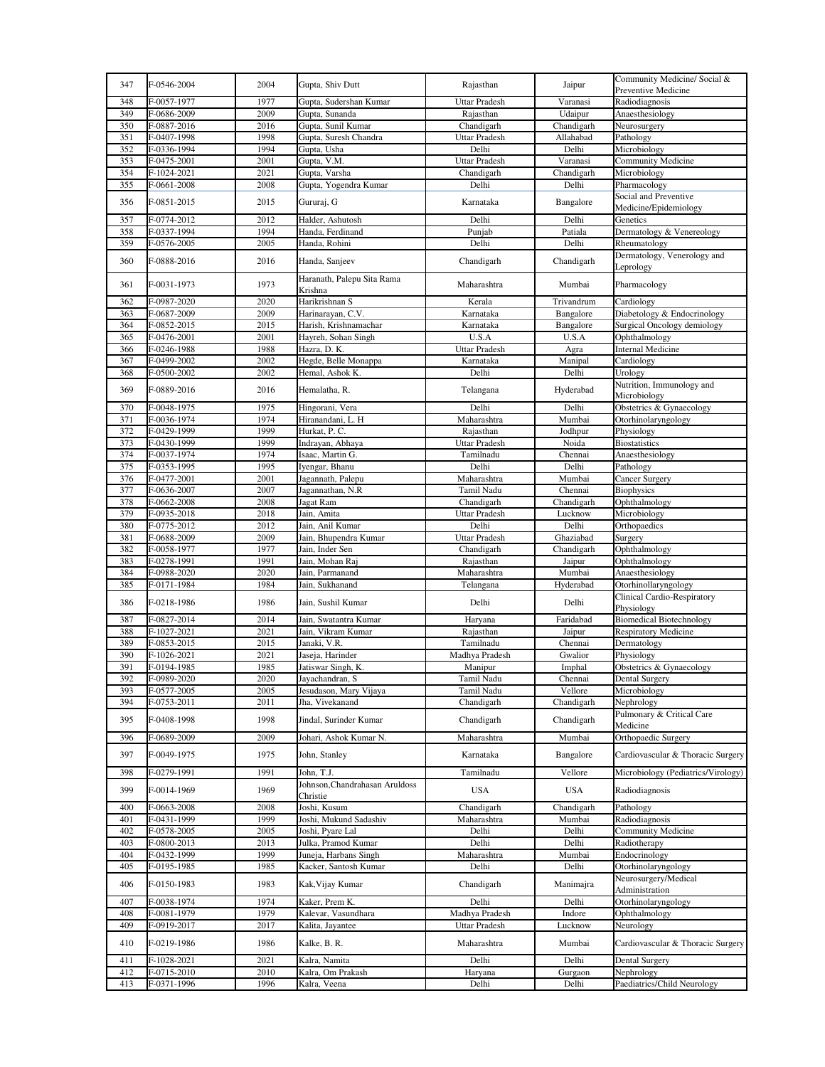| 347 | F-0546-2004 | 2004 | Gupta, Shiv Dutt                           | Rajasthan            | Jaipur     | Community Medicine/Social &<br>Preventive Medicine |
|-----|-------------|------|--------------------------------------------|----------------------|------------|----------------------------------------------------|
| 348 | F-0057-1977 | 1977 | Gupta, Sudershan Kumar                     | <b>Uttar Pradesh</b> | Varanasi   | Radiodiagnosis                                     |
| 349 | F-0686-2009 | 2009 | Gupta, Sunanda                             | Rajasthan            | Udaipur    | Anaesthesiology                                    |
| 350 | F-0887-2016 | 2016 | Gupta, Sunil Kumar                         | Chandigarh           | Chandigarh | Neurosurgery                                       |
| 351 | F-0407-1998 | 1998 | Gupta, Suresh Chandra                      | Uttar Pradesh        | Allahabad  | Pathology                                          |
| 352 | F-0336-1994 | 1994 | Gupta, Usha                                | Delhi                | Delhi      | Microbiology                                       |
| 353 | F-0475-2001 | 2001 | Gupta, V.M.                                | <b>Uttar Pradesh</b> | Varanasi   | Community Medicine                                 |
| 354 | F-1024-2021 | 2021 | Gupta, Varsha                              | Chandigarh           | Chandigarh | Microbiology                                       |
| 355 | F-0661-2008 | 2008 | Gupta, Yogendra Kumar                      | Delhi                | Delhi      | Pharmacology                                       |
| 356 | F-0851-2015 | 2015 | Gururaj, G                                 | Karnataka            | Bangalore  | Social and Preventive<br>Medicine/Epidemiology     |
| 357 | F-0774-2012 | 2012 | Halder, Ashutosh                           | Delhi                | Delhi      | Genetics                                           |
| 358 | F-0337-1994 | 1994 | Handa, Ferdinand                           | Punjab               | Patiala    | Dermatology & Venereology                          |
| 359 | F-0576-2005 | 2005 | Handa, Rohini                              | Delhi                | Delhi      | Rheumatology                                       |
| 360 | F-0888-2016 | 2016 | Handa, Sanjeev                             | Chandigarh           | Chandigarh | Dermatology, Venerology and<br>Leprology           |
| 361 | F-0031-1973 | 1973 | Haranath, Palepu Sita Rama<br>Krishna      | Maharashtra          | Mumbai     | Pharmacology                                       |
| 362 | F-0987-2020 | 2020 | Harikrishnan S                             | Kerala               | Trivandrum | Cardiology                                         |
| 363 | F-0687-2009 | 2009 | Harinarayan, C.V.                          | Karnataka            | Bangalore  | Diabetology & Endocrinology                        |
| 364 | F-0852-2015 | 2015 | Harish, Krishnamachar                      | Karnataka            | Bangalore  | Surgical Oncology demiology                        |
| 365 | F-0476-2001 | 2001 | Hayreh, Sohan Singh                        | U.S.A                | U.S.A      | Ophthalmology                                      |
| 366 | F-0246-1988 | 1988 | Hazra, D. K.                               | <b>Uttar Pradesh</b> | Agra       | <b>Internal Medicine</b>                           |
| 367 | F-0499-2002 | 2002 | Hegde, Belle Monappa                       | Karnataka            | Manipal    | Cardiology                                         |
| 368 | F-0500-2002 | 2002 | Hemal, Ashok K.                            | Delhi                | Delhi      | Urology                                            |
| 369 | F-0889-2016 | 2016 | Hemalatha, R.                              | Telangana            | Hyderabad  | Nutrition, Immunology and<br>Microbiology          |
| 370 | F-0048-1975 | 1975 | Hingorani, Vera                            | Delhi                | Delhi      | Obstetrics & Gynaecology                           |
| 371 | F-0036-1974 | 1974 | Hiranandani, L. H                          | Maharashtra          | Mumbai     | Otorhinolaryngology                                |
| 372 | F-0429-1999 | 1999 | Hurkat, P. C.                              | Rajasthan            | Jodhpur    | Physiology                                         |
| 373 | F-0430-1999 | 1999 | Indrayan, Abhaya                           | Uttar Pradesh        | Noida      | <b>Biostatistics</b>                               |
| 374 | F-0037-1974 | 1974 | Isaac, Martin G.                           | Tamilnadu            | Chennai    | Anaesthesiology                                    |
| 375 | F-0353-1995 | 1995 | Iyengar, Bhanu                             | Delhi                | Delhi      | Pathology                                          |
| 376 | F-0477-2001 | 2001 | Jagannath, Palepu                          | Maharashtra          | Mumbai     | Cancer Surgery                                     |
| 377 | F-0636-2007 | 2007 | Jagannathan, N.R                           | Tamil Nadu           | Chennai    | <b>Biophysics</b>                                  |
| 378 | F-0662-2008 | 2008 | Jagat Ram                                  | Chandigarh           | Chandigarh | Ophthalmology                                      |
| 379 | F-0935-2018 | 2018 | Jain, Amita                                | <b>Uttar Pradesh</b> | Lucknow    | Microbiology                                       |
| 380 | F-0775-2012 | 2012 | Jain, Anil Kumar                           | Delhi                | Delhi      | Orthopaedics                                       |
| 381 | F-0688-2009 | 2009 | Jain, Bhupendra Kumar                      | <b>Uttar Pradesh</b> | Ghaziabad  | Surgery                                            |
| 382 | F-0058-1977 | 1977 | Jain, Inder Sen                            | Chandigarh           | Chandigarh | Ophthalmology                                      |
| 383 | F-0278-1991 | 1991 | Jain, Mohan Raj                            | Rajasthan            | Jaipur     | Ophthalmology                                      |
| 384 | F-0988-2020 | 2020 | Jain, Parmanand                            | Maharashtra          | Mumbai     | Anaesthesiology                                    |
| 385 | F-0171-1984 | 1984 | Jain, Sukhanand                            | Telangana            | Hyderabad  | Otorhinollaryngology                               |
| 386 | F-0218-1986 | 1986 | Jain, Sushil Kumar                         | Delhi                | Delhi      | Clinical Cardio-Respiratory<br>Physiology          |
| 387 | F-0827-2014 | 2014 | Jain, Swatantra Kumar                      | Haryana              | Faridabad  | <b>Biomedical Biotechnology</b>                    |
| 388 | F-1027-2021 | 2021 | Jain, Vikram Kumar                         | Rajasthan            | Jaipur     | <b>Respiratory Medicine</b>                        |
| 389 | F-0853-2015 | 2015 | Janaki, V.R.                               | Tamilnadu            | Chennai    | Dermatology                                        |
| 390 | F-1026-2021 | 2021 | Jaseja, Harinder                           | Madhya Pradesh       | Gwalior    | Physiology                                         |
| 391 | F-0194-1985 | 1985 | Jatiswar Singh, K.                         | Manipur              | Imphal     | Obstetrics & Gynaecology                           |
| 392 | F-0989-2020 | 2020 | Jayachandran, S                            | Tamil Nadu           | Chennai    | Dental Surgery                                     |
| 393 | F-0577-2005 | 2005 | Jesudason, Mary Vijaya                     | Tamil Nadu           | Vellore    | Microbiology                                       |
| 394 | F-0753-2011 | 2011 | Jha, Vivekanand                            | Chandigarh           | Chandigarh | Nephrology                                         |
| 395 | F-0408-1998 | 1998 | Jindal, Surinder Kumar                     | Chandigarh           | Chandigarh | Pulmonary & Critical Care<br>Medicine              |
| 396 | F-0689-2009 | 2009 | Johari, Ashok Kumar N.                     | Maharashtra          | Mumbai     | Orthopaedic Surgery                                |
| 397 | F-0049-1975 | 1975 | John, Stanley                              | Karnataka            | Bangalore  | Cardiovascular & Thoracic Surgery                  |
| 398 | F-0279-1991 | 1991 | John, T.J.                                 | Tamilnadu            | Vellore    | Microbiology (Pediatrics/Virology)                 |
| 399 | F-0014-1969 | 1969 | Johnson, Chandrahasan Aruldoss<br>Christie | <b>USA</b>           | <b>USA</b> | Radiodiagnosis                                     |
| 400 | F-0663-2008 | 2008 | Joshi, Kusum                               | Chandigarh           | Chandigarh | Pathology                                          |
| 401 | F-0431-1999 | 1999 | Joshi, Mukund Sadashiv                     | Maharashtra          | Mumbai     | Radiodiagnosis                                     |
| 402 | F-0578-2005 | 2005 | Joshi, Pyare Lal                           | Delhi                | Delhi      | Community Medicine                                 |
| 403 | F-0800-2013 | 2013 | Julka, Pramod Kumar                        | Delhi                | Delhi      | Radiotherapy                                       |
| 404 | F-0432-1999 | 1999 | Juneja, Harbans Singh                      | Maharashtra          | Mumbai     | Endocrinology                                      |
| 405 | F-0195-1985 | 1985 | Kacker, Santosh Kumar                      | Delhi                | Delhi      | Otorhinolaryngology                                |
| 406 | F-0150-1983 | 1983 | Kak, Vijay Kumar                           | Chandigarh           | Manimajra  | Neurosurgery/Medical<br>Administration             |
| 407 | F-0038-1974 | 1974 | Kaker, Prem K.                             | Delhi                | Delhi      | Otorhinolaryngology                                |
| 408 | F-0081-1979 | 1979 | Kalevar, Vasundhara                        | Madhya Pradesh       | Indore     | Ophthalmology                                      |
| 409 | F-0919-2017 | 2017 | Kalita, Jayantee                           | Uttar Pradesh        | Lucknow    | Neurology                                          |
| 410 | F-0219-1986 | 1986 | Kalke, B. R.                               | Maharashtra          | Mumbai     | Cardiovascular & Thoracic Surgery                  |
| 411 | F-1028-2021 | 2021 | Kalra, Namita                              | Delhi                | Delhi      | Dental Surgery                                     |
| 412 | F-0715-2010 | 2010 | Kalra, Om Prakash                          | Haryana              | Gurgaon    | Nephrology                                         |
| 413 | F-0371-1996 | 1996 | Kalra, Veena                               | Delhi                | Delhi      | Paediatrics/Child Neurology                        |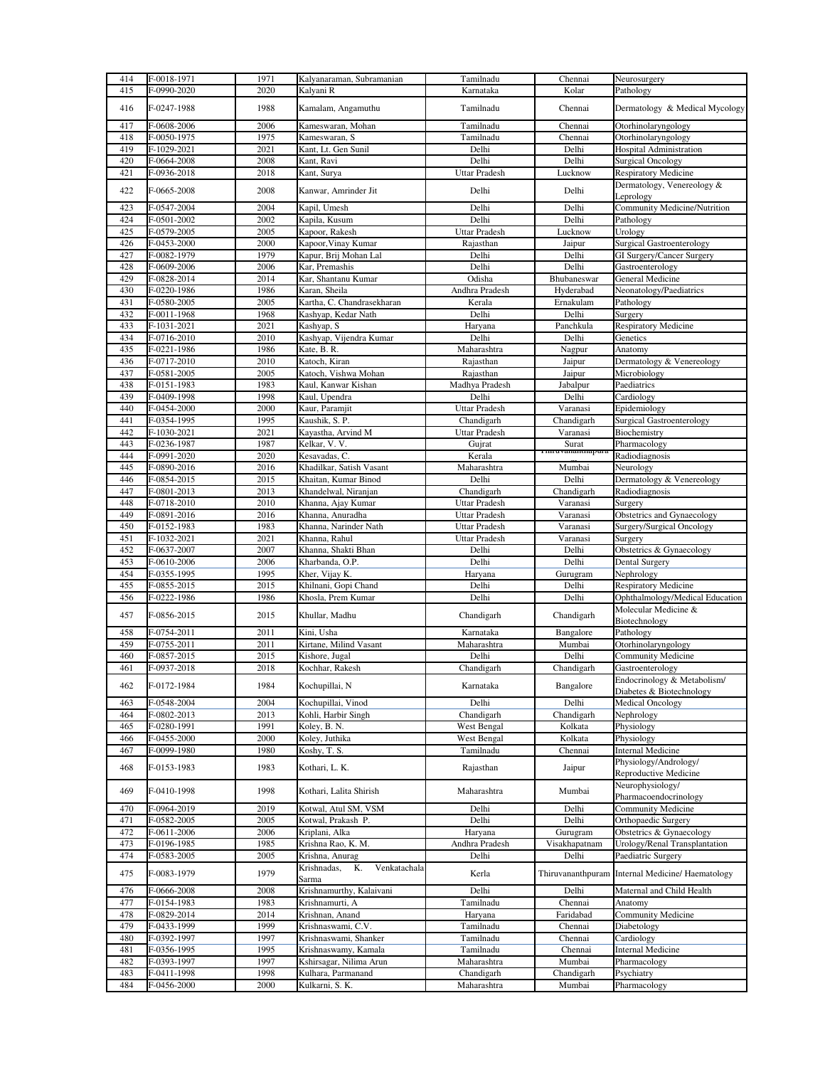| 414 | F-0018-1971   | 1971 | Kalyanaraman, Subramanian                  | Tamilnadu            | Chennai          | Neurosurgery                                     |
|-----|---------------|------|--------------------------------------------|----------------------|------------------|--------------------------------------------------|
| 415 | F-0990-2020   | 2020 | Kalyani R                                  | Karnataka            | Kolar            | Pathology                                        |
|     |               |      |                                            |                      |                  |                                                  |
| 416 | F-0247-1988   | 1988 | Kamalam, Angamuthu                         | Tamilnadu            | Chennai          | Dermatology & Medical Mycology                   |
|     |               |      |                                            |                      |                  |                                                  |
| 417 | F-0608-2006   | 2006 | Kameswaran, Mohan                          | Tamilnadu            | Chennai          | Otorhinolaryngology                              |
| 418 | F-0050-1975   | 1975 | Kameswaran, S                              | Tamilnadu            | Chennai          | Otorhinolaryngology                              |
| 419 | F-1029-2021   | 2021 | Kant, Lt. Gen Sunil                        | Delhi                | Delhi            | Hospital Administration                          |
| 420 | F-0664-2008   | 2008 | Kant, Ravi                                 | Delhi                | Delhi            | <b>Surgical Oncology</b>                         |
| 421 | F-0936-2018   | 2018 | Kant, Surya                                | <b>Uttar Pradesh</b> | Lucknow          | <b>Respiratory Medicine</b>                      |
| 422 | F-0665-2008   | 2008 |                                            |                      |                  | Dermatology, Venereology &                       |
|     |               |      | Kanwar, Amrinder Jit                       | Delhi                | Delhi            | Leprology                                        |
| 423 | F-0547-2004   | 2004 | Kapil, Umesh                               | Delhi                | Delhi            | Community Medicine/Nutrition                     |
| 424 | F-0501-2002   | 2002 | Kapila, Kusum                              | Delhi                | Delhi            | Pathology                                        |
| 425 | F-0579-2005   | 2005 | Kapoor, Rakesh                             | <b>Uttar Pradesh</b> | Lucknow          | Urology                                          |
| 426 | F-0453-2000   | 2000 | Kapoor, Vinay Kumar                        | Rajasthan            | Jaipur           | <b>Surgical Gastroenterology</b>                 |
| 427 | F-0082-1979   | 1979 | Kapur, Brij Mohan Lal                      | Delhi                | Delhi            | GI Surgery/Cancer Surgery                        |
| 428 | F-0609-2006   | 2006 | Kar, Premashis                             | Delhi                | Delhi            | Gastroenterology                                 |
| 429 | F-0828-2014   | 2014 | Kar, Shantanu Kumar                        | Odisha               | Bhubaneswar      | General Medicine                                 |
| 430 | F-0220-1986   | 1986 | Karan, Sheila                              | Andhra Pradesh       | Hyderabad        | Neonatology/Paediatrics                          |
| 431 | F-0580-2005   | 2005 |                                            | Kerala               | Ernakulam        |                                                  |
|     |               |      | Kartha, C. Chandrasekharan                 |                      |                  | Pathology                                        |
| 432 | F-0011-1968   | 1968 | Kashyap, Kedar Nath                        | Delhi                | Delhi            | Surgery                                          |
| 433 | F-1031-2021   | 2021 | Kashyap, S                                 | Haryana              | Panchkula        | <b>Respiratory Medicine</b>                      |
| 434 | F-0716-2010   | 2010 | Kashyap, Vijendra Kumar                    | Delhi                | Delhi            | Genetics                                         |
| 435 | F-0221-1986   | 1986 | Kate, B. R.                                | Maharashtra          | Nagpur           | Anatomy                                          |
| 436 | F-0717-2010   | 2010 | Katoch, Kiran                              | Rajasthan            | Jaipur           | Dermatology & Venereology                        |
| 437 | F-0581-2005   | 2005 | Katoch, Vishwa Mohan                       | Rajasthan            | Jaipur           | Microbiology                                     |
| 438 | F-0151-1983   | 1983 | Kaul, Kanwar Kishan                        | Madhya Pradesh       | Jabalpur         | Paediatrics                                      |
| 439 | F-0409-1998   | 1998 | Kaul, Upendra                              | Delhi                | Delhi            | Cardiology                                       |
| 440 | F-0454-2000   | 2000 | Kaur, Paramjit                             | Uttar Pradesh        | Varanasi         | Epidemiology                                     |
| 441 | F-0354-1995   | 1995 | Kaushik, S. P.                             | Chandigarh           | Chandigarh       | <b>Surgical Gastroenterology</b>                 |
| 442 | F-1030-2021   | 2021 | Kayastha, Arvind M                         | <b>Uttar Pradesh</b> | Varanasi         | Biochemistry                                     |
| 443 | F-0236-1987   | 1987 | Kelkar, V. V.                              | Gujrat               | Surat            | Pharmacology                                     |
| 444 | F-0991-2020   | 2020 | Kesavadas, C.                              | Kerala               | 1 mruvananurapur | Radiodiagnosis                                   |
| 445 | F-0890-2016   | 2016 | Khadilkar, Satish Vasant                   | Maharashtra          | Mumbai           | Neurology                                        |
| 446 | F-0854-2015   | 2015 | Khaitan, Kumar Binod                       | Delhi                | Delhi            | Dermatology & Venereology                        |
|     |               |      |                                            |                      |                  |                                                  |
| 447 | F-0801-2013   | 2013 | Khandelwal, Niranjan                       | Chandigarh           | Chandigarh       | Radiodiagnosis                                   |
| 448 | F-0718-2010   | 2010 | Khanna, Ajay Kumar                         | <b>Uttar Pradesh</b> | Varanasi         | Surgery                                          |
| 449 | F-0891-2016   | 2016 | Khanna, Anuradha                           | <b>Uttar Pradesh</b> | Varanasi         | Obstetrics and Gynaecology                       |
| 450 | F-0152-1983   | 1983 | Khanna, Narinder Nath                      | <b>Uttar Pradesh</b> | Varanasi         | Surgery/Surgical Oncology                        |
| 451 | F-1032-2021   | 2021 | Khanna, Rahul                              | Uttar Pradesh        | Varanasi         | Surgery                                          |
| 452 | F-0637-2007   | 2007 | Khanna, Shakti Bhan                        | Delhi                | Delhi            | Obstetrics & Gynaecology                         |
| 453 | F-0610-2006   | 2006 | Kharbanda, O.P.                            | Delhi                | Delhi            | Dental Surgery                                   |
| 454 | F-0355-1995   | 1995 | Kher, Vijay K.                             | Haryana              | Gurugram         | Nephrology                                       |
| 455 | F-0855-2015   | 2015 | Khilnani, Gopi Chand                       | Delhi                | Delhi            | <b>Respiratory Medicine</b>                      |
| 456 | F-0222-1986   | 1986 | Khosla, Prem Kumar                         | Delhi                | Delhi            | Ophthalmology/Medical Education                  |
|     |               |      |                                            |                      |                  | Molecular Medicine &                             |
| 457 | F-0856-2015   | 2015 | Khullar, Madhu                             | Chandigarh           | Chandigarh       | Biotechnology                                    |
| 458 | F-0754-2011   | 2011 | Kini, Usha                                 | Karnataka            | Bangalore        | Pathology                                        |
| 459 | F-0755-2011   | 2011 | Kirtane, Milind Vasant                     | Maharashtra          | Mumbai           | Otorhinolaryngology                              |
| 460 | F-0857-2015   | 2015 | Kishore, Jugal                             | Delhi                | Delhi            | <b>Community Medicine</b>                        |
| 461 | F-0937-2018   | 2018 | Kochhar, Rakesh                            | Chandigarh           | Chandigarh       | Gastroenterology                                 |
|     |               |      |                                            |                      |                  | Endocrinology & Metabolism/                      |
| 462 | F-0172-1984   | 1984 | Kochupillai, N                             | Karnataka            | Bangalore        | Diabetes & Biotechnology                         |
|     |               |      | Kochupillai, Vinod                         |                      |                  |                                                  |
| 463 | F-0548-2004   | 2004 |                                            | Delhi                | Delhi            | <b>Medical Oncology</b>                          |
| 464 | F-0802-2013   | 2013 | Kohli, Harbir Singh                        | Chandigarh           | Chandigarh       | Nephrology                                       |
| 465 | F-0280-1991   | 1991 | Koley, B. N.                               | West Bengal          | Kolkata          | Physiology                                       |
| 466 | F-0455-2000   | 2000 | Koley, Juthika                             | West Bengal          | Kolkata          | Physiology                                       |
| 467 | F-0099-1980   | 1980 | $\overline{\text{Koshy}}$ , T. S.          | Tamilnadu            | Chennai          | <b>Internal Medicine</b>                         |
| 468 | F-0153-1983   | 1983 | Kothari, L. K.                             | Rajasthan            | Jaipur           | Physiology/Andrology/                            |
|     |               |      |                                            |                      |                  | Reproductive Medicine                            |
| 469 | F-0410-1998   | 1998 | Kothari, Lalita Shirish                    | Maharashtra          | Mumbai           | Neurophysiology/                                 |
|     |               |      |                                            |                      |                  | Pharmacoendocrinology                            |
| 470 | F-0964-2019   | 2019 | Kotwal, Atul SM, VSM                       | Delhi                | Delhi            | Community Medicine                               |
| 471 | F-0582-2005   | 2005 | Kotwal, Prakash P.                         | Delhi                | Delhi            | Orthopaedic Surgery                              |
| 472 | F-0611-2006   | 2006 | Kriplani, Alka                             | Haryana              | Gurugram         | Obstetrics & Gynaecology                         |
| 473 | F-0196-1985   | 1985 | Krishna Rao, K. M.                         | Andhra Pradesh       | Visakhapatnam    | Urology/Renal Transplantation                    |
| 474 | F-0583-2005   | 2005 | Krishna, Anurag                            | Delhi                | Delhi            | Paediatric Surgery                               |
| 475 | F-0083-1979   | 1979 | Venkatachala<br>Krishnadas,<br>Κ.<br>Sarma | Kerla                |                  | Thiruvananthpuram Internal Medicine/ Haematology |
| 476 | F-0666-2008   | 2008 | Krishnamurthy, Kalaivani                   | Delhi                | Delhi            | Maternal and Child Health                        |
| 477 | F-0154-1983   | 1983 | Krishnamurti, A                            | Tamilnadu            | Chennai          | Anatomy                                          |
| 478 | F-0829-2014   | 2014 | Krishnan, Anand                            | Haryana              | Faridabad        | Community Medicine                               |
|     | $F-0433-1999$ | 1999 |                                            |                      |                  |                                                  |
| 479 |               |      | Krishnaswami, C.V.                         | Tamilnadu            | Chennai          | Diabetology                                      |
| 480 | F-0392-1997   | 1997 | Krishnaswami, Shanker                      | Tamilnadu            | Chennai          | Cardiology                                       |
| 481 | F-0356-1995   | 1995 | Krishnaswamy, Kamala                       | Tamilnadu            | Chennai          | <b>Internal Medicine</b>                         |
| 482 | F-0393-1997   | 1997 | Kshirsagar, Nilima Arun                    | Maharashtra          | Mumbai           | Pharmacology                                     |
| 483 | F-0411-1998   | 1998 | Kulhara, Parmanand                         | Chandigarh           | Chandigarh       | Psychiatry                                       |
| 484 | F-0456-2000   | 2000 | Kulkarni, S. K.                            | Maharashtra          | Mumbai           | Pharmacology                                     |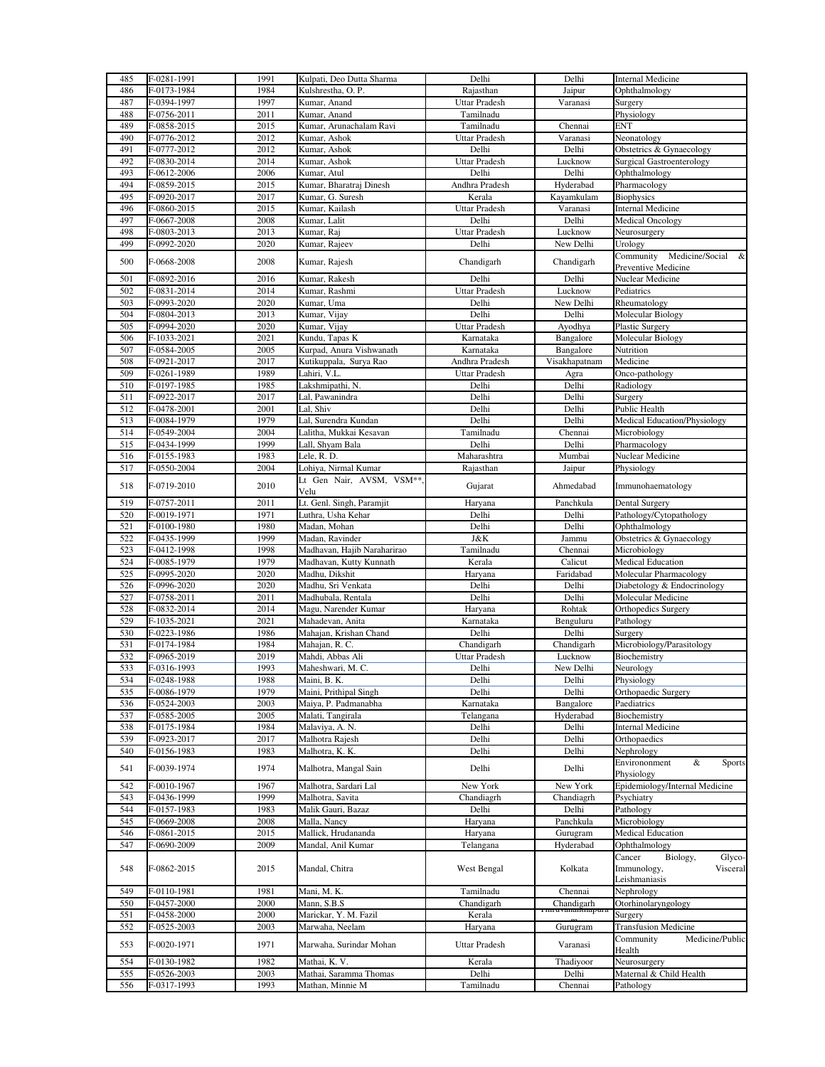| 485 | F-0281-1991   | 1991 | Kulpati, Deo Dutta Sharma   | Delhi                | Delhi                      | <b>Internal Medicine</b>                                                 |
|-----|---------------|------|-----------------------------|----------------------|----------------------------|--------------------------------------------------------------------------|
| 486 | F-0173-1984   | 1984 | Kulshrestha, O. P.          | Rajasthan            | Jaipur                     | Ophthalmology                                                            |
| 487 | F-0394-1997   | 1997 | Kumar, Anand                | <b>Uttar Pradesh</b> | Varanasi                   | Surgery                                                                  |
| 488 | F-0756-2011   | 2011 | Kumar, Anand                | Tamilnadu            |                            | Physiology                                                               |
| 489 | F-0858-2015   | 2015 | Kumar, Arunachalam Ravi     | Tamilnadu            | Chennai                    | <b>ENT</b>                                                               |
| 490 | F-0776-2012   | 2012 | Kumar, Ashok                | <b>Uttar Pradesh</b> | Varanasi                   | Neonatology                                                              |
| 491 | F-0777-2012   | 2012 | Kumar, Ashok                | Delhi                | Delhi                      | Obstetrics & Gynaecology                                                 |
| 492 | F-0830-2014   | 2014 | Kumar, Ashok                | <b>Uttar Pradesh</b> | Lucknow                    | <b>Surgical Gastroenterology</b>                                         |
| 493 | F-0612-2006   | 2006 | Kumar, Atul                 | Delhi                | Delhi                      | Ophthalmology                                                            |
| 494 | F-0859-2015   | 2015 | Kumar, Bharatraj Dinesh     | Andhra Pradesh       | Hyderabad                  | Pharmacology                                                             |
| 495 | F-0920-2017   | 2017 | Kumar, G. Suresh            | Kerala               | Kayamkulam                 | <b>Biophysics</b>                                                        |
| 496 | F-0860-2015   | 2015 | Kumar, Kailash              | <b>Uttar Pradesh</b> | Varanasi                   | <b>Internal Medicine</b>                                                 |
| 497 | F-0667-2008   | 2008 | Kumar, Lalit                | Delhi                | Delhi                      | <b>Medical Oncology</b>                                                  |
| 498 | F-0803-2013   | 2013 | Kumar, Raj                  | <b>Uttar Pradesh</b> | Lucknow                    | Neurosurgery                                                             |
| 499 | F-0992-2020   | 2020 | Kumar, Rajeev               | Delhi                | New Delhi                  | Urology                                                                  |
| 500 | F-0668-2008   | 2008 | Kumar, Rajesh               | Chandigarh           | Chandigarh                 | Community<br>Medicine/Social &<br>Preventive Medicine                    |
| 501 | F-0892-2016   | 2016 | Kumar, Rakesh               | Delhi                | Delhi                      | Nuclear Medicine                                                         |
| 502 | F-0831-2014   | 2014 | Kumar, Rashmi               | <b>Uttar Pradesh</b> | Lucknow                    | Pediatrics                                                               |
| 503 | F-0993-2020   | 2020 | Kumar, Uma                  | Delhi                | New Delhi                  | Rheumatology                                                             |
| 504 | F-0804-2013   | 2013 | Kumar, Vijay                | Delhi                | Delhi                      | <b>Molecular Biology</b>                                                 |
| 505 | F-0994-2020   | 2020 | Kumar, Vijay                | <b>Uttar Pradesh</b> | Ayodhya                    | Plastic Surgery                                                          |
| 506 | F-1033-2021   | 2021 | Kundu, Tapas K              | Karnataka            | Bangalore                  | Molecular Biology                                                        |
| 507 | F-0584-2005   | 2005 | Kurpad, Anura Vishwanath    | Karnataka            | Bangalore                  | Nutrition                                                                |
| 508 | F-0921-2017   | 2017 | Kutikuppala, Surya Rao      | Andhra Pradesh       | Visakhapatnam              | Medicine                                                                 |
| 509 | F-0261-1989   | 1989 | Lahiri, V.L.                | Uttar Pradesh        | Agra                       | Onco-pathology                                                           |
| 510 | F-0197-1985   | 1985 | Lakshmipathi, N.            | Delhi                | Delhi                      | Radiology                                                                |
| 511 | F-0922-2017   | 2017 | Lal, Pawanindra             | Delhi                | Delhi                      | Surgery                                                                  |
| 512 | F-0478-2001   | 2001 | Lal, Shiv                   | Delhi                | Delhi                      | Public Health                                                            |
| 513 | F-0084-1979   | 1979 | Lal, Surendra Kundan        | Delhi                | Delhi                      | Medical Education/Physiology                                             |
| 514 | F-0549-2004   | 2004 | Lalitha, Mukkai Kesavan     | Tamilnadu            | Chennai                    | Microbiology                                                             |
| 515 | F-0434-1999   | 1999 | Lall, Shyam Bala            | Delhi                | Delhi                      | Pharmacology                                                             |
| 516 | F-0155-1983   | 1983 | Lele, R. D.                 | Maharashtra          | Mumbai                     | Nuclear Medicine                                                         |
| 517 | F-0550-2004   | 2004 | Lohiya, Nirmal Kumar        | Rajasthan            | Jaipur                     | Physiology                                                               |
| 518 | F-0719-2010   | 2010 | Lt Gen Nair, AVSM, VSM **   | Gujarat              | Ahmedabad                  | Immunohaematology                                                        |
|     |               |      | Velu                        |                      |                            |                                                                          |
| 519 | F-0757-2011   | 2011 | Lt. Genl. Singh, Paramjit   | Haryana              | Panchkula                  | Dental Surgery                                                           |
| 520 | F-0019-1971   | 1971 | Luthra, Usha Kehar          | Delhi                | Delhi                      | Pathology/Cytopathology                                                  |
| 521 | F-0100-1980   | 1980 | Madan, Mohan                | Delhi                | Delhi                      | Ophthalmology                                                            |
| 522 | F-0435-1999   | 1999 | Madan, Ravinder             | J&K                  | Jammu                      | Obstetrics & Gynaecology                                                 |
| 523 | F-0412-1998   | 1998 | Madhavan, Hajib Naraharirao | Tamilnadu            | Chennai                    | Microbiology                                                             |
| 524 | F-0085-1979   | 1979 | Madhavan, Kutty Kunnath     | Kerala               | Calicut                    | <b>Medical Education</b>                                                 |
| 525 | F-0995-2020   | 2020 | Madhu, Dikshit              | Haryana              | Faridabad                  | Molecular Pharmacology                                                   |
| 526 | F-0996-2020   | 2020 | Madhu, Sri Venkata          | Delhi                | Delhi                      | Diabetology & Endocrinology                                              |
| 527 | F-0758-2011   | 2011 | Madhubala, Rentala          | Delhi                | Delhi                      | Molecular Medicine                                                       |
| 528 | F-0832-2014   | 2014 | Magu, Narender Kumar        | Haryana              | Rohtak                     | Orthopedics Surgery                                                      |
| 529 | F-1035-2021   | 2021 | Mahadevan, Anita            | Karnataka            | Benguluru                  | Pathology                                                                |
| 530 | F-0223-1986   | 1986 | Mahajan, Krishan Chand      | Delhi                | Delhi                      | Surgery                                                                  |
| 531 | F-0174-1984   | 1984 | Mahajan, R. C.              | Chandigarh           | Chandigarh                 | Microbiology/Parasitology                                                |
| 532 | F-0965-2019   | 2019 | Mahdi, Abbas Ali            | <b>Uttar Pradesh</b> | Lucknow                    | Biochemistry                                                             |
| 533 | F-0316-1993   | 1993 | Maheshwari, M. C.           | Delhi                | New Delhi                  | Neurology                                                                |
| 534 | F-0248-1988   | 1988 | Maini, B. K.                | Delhi                | Delhi                      | Physiology                                                               |
| 535 | F-0086-1979   | 1979 | Maini, Prithipal Singh      | Delhi                | Delhi                      | Orthopaedic Surgery                                                      |
| 536 | F-0524-2003   | 2003 | Maiya, P. Padmanabha        | Karnataka            | Bangalore                  | Paediatrics                                                              |
| 537 | F-0585-2005   | 2005 | Malati, Tangirala           | Telangana            | Hyderabad                  | Biochemistry                                                             |
| 538 | F-0175-1984   | 1984 | Malaviya, A. N.             | Delhi                | Delhi                      | <b>Internal Medicine</b>                                                 |
| 539 | F-0923-2017   | 2017 | Malhotra Rajesh             | Delhi                | Delhi                      | Orthopaedics                                                             |
| 540 | F-0156-1983   | 1983 | Malhotra, K. K.             | Delhi                | Delhi                      | Nephrology                                                               |
| 541 | F-0039-1974   | 1974 | Malhotra, Mangal Sain       | Delhi                | Delhi                      | Environonment<br>&<br><b>Sports</b><br>Physiology                        |
| 542 | F-0010-1967   | 1967 | Malhotra, Sardari Lal       | New York             | New York                   | Epidemiology/Internal Medicine                                           |
| 543 | F-0436-1999   | 1999 | Malhotra, Savita            | Chandiagrh           | Chandiagrh                 | Psychiatry                                                               |
| 544 | F-0157-1983   | 1983 | Malik Gauri, Bazaz          | Delhi                | Delhi                      | Pathology                                                                |
| 545 | F-0669-2008   | 2008 | Malla, Nancy                | Haryana              | Panchkula                  | Microbiology                                                             |
| 546 | F-0861-2015   | 2015 | Mallick, Hrudananda         | Haryana              | Gurugram                   | Medical Education                                                        |
| 547 | F-0690-2009   | 2009 | Mandal, Anil Kumar          | Telangana            | Hyderabad                  | Ophthalmology                                                            |
| 548 | F-0862-2015   | 2015 | Mandal, Chitra              | West Bengal          | Kolkata                    | Cancer<br>Biology,<br>Glyco-<br>Visceral<br>Immunology,<br>Leishmaniasis |
| 549 | F-0110-1981   | 1981 | Mani, M. K.                 | Tamilnadu            | Chennai                    | Nephrology                                                               |
| 550 | F-0457-2000   | 2000 | Mann, S.B.S                 | Chandigarh           | Chandigarh<br>muvanantnapu | Otorhinolaryngology                                                      |
| 551 | F-0458-2000   | 2000 | Marickar, Y. M. Fazil       | Kerala               |                            | Surgery                                                                  |
| 552 | F-0525-2003   | 2003 | Marwaha, Neelam             | Haryana              | Gurugram                   | <b>Transfusion Medicine</b>                                              |
|     |               |      |                             |                      |                            | Medicine/Public<br>Community                                             |
| 553 | F-0020-1971   | 1971 | Marwaha, Surindar Mohan     | Uttar Pradesh        | Varanasi                   | Health                                                                   |
| 554 | F-0130-1982   | 1982 | Mathai, K. V.               | Kerala               | Thadiyoor                  | Neurosurgery                                                             |
| 555 | F-0526-2003   | 2003 | Mathai, Saramma Thomas      | Delhi                | Delhi                      | Maternal & Child Health                                                  |
| 556 | $F-0317-1993$ | 1993 | Mathan, Minnie M            | Tamilnadu            | Chennai                    | Pathology                                                                |
|     |               |      |                             |                      |                            |                                                                          |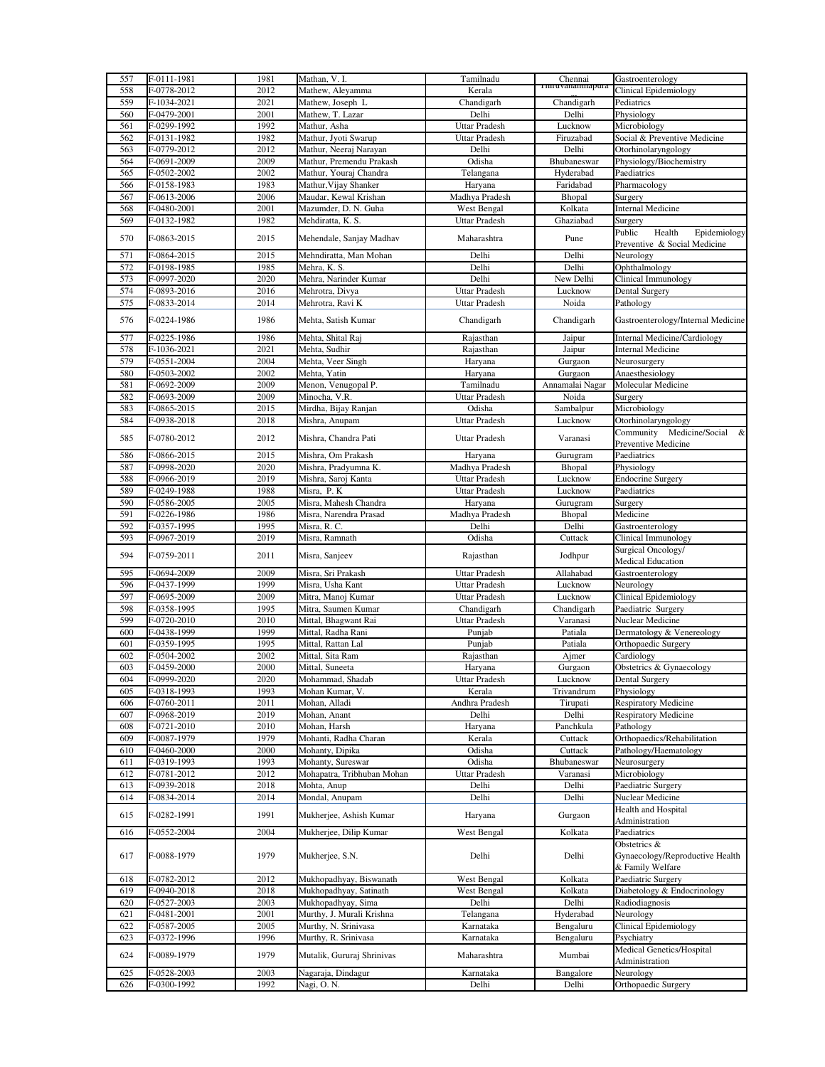| 557 | F-0111-1981 | 1981 | Mathan, V. I.              | Tamilnadu            | Chennai           | Gastroenterology                    |
|-----|-------------|------|----------------------------|----------------------|-------------------|-------------------------------------|
| 558 | F-0778-2012 | 2012 | Mathew, Aleyamma           | Kerala               | 1 miuvananinapura | Clinical Epidemiology               |
| 559 | F-1034-2021 | 2021 | Mathew, Joseph L           | Chandigarh           | Chandigarh        | Pediatrics                          |
|     |             |      |                            |                      |                   |                                     |
| 560 | F-0479-2001 | 2001 | Mathew, T. Lazar           | Delhi                | Delhi             | Physiology                          |
| 561 | F-0299-1992 | 1992 | Mathur, Asha               | Uttar Pradesh        | Lucknow           | Microbiology                        |
| 562 | F-0131-1982 | 1982 | Mathur, Jyoti Swarup       | <b>Uttar Pradesh</b> | Firuzabad         | Social & Preventive Medicine        |
| 563 | F-0779-2012 | 2012 | Mathur, Neeraj Narayan     | Delhi                | Delhi             | Otorhinolaryngology                 |
| 564 | F-0691-2009 | 2009 | Mathur, Premendu Prakash   | Odisha               | Bhubaneswar       | Physiology/Biochemistry             |
| 565 | F-0502-2002 | 2002 | Mathur, Youraj Chandra     | Telangana            | Hyderabad         | Paediatrics                         |
| 566 | F-0158-1983 | 1983 | Mathur, Vijay Shanker      | Haryana              | Faridabad         | Pharmacology                        |
|     |             |      |                            |                      |                   |                                     |
| 567 | F-0613-2006 | 2006 | Maudar, Kewal Krishan      | Madhya Pradesh       | Bhopal            | Surgery                             |
| 568 | F-0480-2001 | 2001 | Mazumder, D. N. Guha       | West Bengal          | Kolkata           | <b>Internal Medicine</b>            |
| 569 | F-0132-1982 | 1982 | Mehdiratta, K. S.          | <b>Uttar Pradesh</b> | Ghaziabad         | Surgery                             |
| 570 | F-0863-2015 | 2015 |                            | Maharashtra          |                   | Public<br>Health<br>Epidemiology    |
|     |             |      | Mehendale, Sanjay Madhav   |                      | Pune              | Preventive & Social Medicine        |
| 571 | F-0864-2015 | 2015 | Mehndiratta, Man Mohan     | Delhi                | Delhi             | Neurology                           |
| 572 | F-0198-1985 | 1985 | Mehra, K. S.               | Delhi                | Delhi             | Ophthalmology                       |
| 573 | F-0997-2020 | 2020 |                            | Delhi                | New Delhi         | Clinical Immunology                 |
|     |             |      | Mehra, Narinder Kumar      |                      |                   |                                     |
| 574 | F-0893-2016 | 2016 | Mehrotra, Divya            | <b>Uttar Pradesh</b> | Lucknow           | Dental Surgery                      |
| 575 | F-0833-2014 | 2014 | Mehrotra, Ravi K           | <b>Uttar Pradesh</b> | Noida             | Pathology                           |
| 576 | F-0224-1986 | 1986 | Mehta, Satish Kumar        |                      |                   | Gastroenterology/Internal Medicine  |
|     |             |      |                            | Chandigarh           | Chandigarh        |                                     |
| 577 | F-0225-1986 | 1986 | Mehta, Shital Raj          | Rajasthan            | Jaipur            | <b>Internal Medicine/Cardiology</b> |
| 578 | F-1036-2021 | 2021 | Mehta, Sudhir              | Rajasthan            | Jaipur            | <b>Internal Medicine</b>            |
|     |             | 2004 |                            |                      |                   |                                     |
| 579 | F-0551-2004 |      | Mehta, Veer Singh          | Haryana              | Gurgaon           | Neurosurgery                        |
| 580 | F-0503-2002 | 2002 | Mehta, Yatin               | Haryana              | Gurgaon           | Anaesthesiology                     |
| 581 | F-0692-2009 | 2009 | Menon, Venugopal P.        | Tamilnadu            | Annamalai Nagar   | Molecular Medicine                  |
| 582 | F-0693-2009 | 2009 | Minocha, V.R.              | <b>Uttar Pradesh</b> | Noida             | Surgery                             |
| 583 | F-0865-2015 | 2015 | Mirdha, Bijay Ranjan       | Odisha               | Sambalpur         | Microbiology                        |
| 584 | F-0938-2018 | 2018 | Mishra, Anupam             | <b>Uttar Pradesh</b> | Lucknow           | Otorhinolaryngology                 |
|     |             |      |                            |                      |                   | Community Medicine/Social<br>&      |
| 585 | F-0780-2012 | 2012 | Mishra, Chandra Pati       | Uttar Pradesh        | Varanasi          |                                     |
|     |             |      |                            |                      |                   | Preventive Medicine                 |
| 586 | F-0866-2015 | 2015 | Mishra, Om Prakash         | Haryana              | Gurugram          | Paediatrics                         |
| 587 | F-0998-2020 | 2020 | Mishra, Pradyumna K.       | Madhya Pradesh       | Bhopal            | Physiology                          |
| 588 | F-0966-2019 | 2019 | Mishra, Saroj Kanta        | <b>Uttar Pradesh</b> | Lucknow           | <b>Endocrine Surgery</b>            |
| 589 | F-0249-1988 | 1988 | Misra, P. K                | Uttar Pradesh        | Lucknow           | Paediatrics                         |
| 590 | F-0586-2005 | 2005 | Misra, Mahesh Chandra      | Haryana              | Gurugram          | Surgery                             |
|     |             |      |                            |                      |                   |                                     |
| 591 | F-0226-1986 | 1986 | Misra, Narendra Prasad     | Madhya Pradesh       | Bhopal            | Medicine                            |
| 592 | F-0357-1995 | 1995 | Misra, R. C.               | Delhi                | Delhi             | Gastroenterology                    |
| 593 | F-0967-2019 | 2019 | Misra, Ramnath             | Odisha               | Cuttack           | Clinical Immunology                 |
|     |             |      |                            |                      |                   | Surgical Oncology/                  |
| 594 | F-0759-2011 | 2011 | Misra, Sanjeev             | Rajasthan            | Jodhpur           | <b>Medical Education</b>            |
| 595 | F-0694-2009 | 2009 | Misra, Sri Prakash         | Uttar Pradesh        | Allahabad         | Gastroenterology                    |
| 596 | F-0437-1999 | 1999 | Misra, Usha Kant           | Uttar Pradesh        | Lucknow           | Neurology                           |
|     |             |      |                            |                      |                   |                                     |
| 597 | F-0695-2009 | 2009 | Mitra, Manoj Kumar         | Uttar Pradesh        | Lucknow           | <b>Clinical Epidemiology</b>        |
| 598 | F-0358-1995 | 1995 | Mitra, Saumen Kumar        | Chandigarh           | Chandigarh        | Paediatric Surgery                  |
| 599 | F-0720-2010 | 2010 | Mittal, Bhagwant Rai       | Uttar Pradesh        | Varanasi          | Nuclear Medicine                    |
| 600 | F-0438-1999 | 1999 | Mittal, Radha Rani         | Punjab               | Patiala           | Dermatology & Venereology           |
| 601 | F-0359-1995 | 1995 | Mittal, Rattan Lal         | Punjab               | Patiala           | Orthopaedic Surgery                 |
| 602 | F-0504-2002 | 2002 | Mittal, Sita Ram           | Rajasthan            | Ajmer             | Cardiology                          |
|     |             |      | Mittal, Suneeta            |                      |                   | Obstetrics & Gynaecology            |
| 603 | F-0459-2000 | 2000 |                            | Haryana              | Gurgaon           |                                     |
| 604 | F-0999-2020 | 2020 | Mohammad, Shadab           | <b>Uttar Pradesh</b> | Lucknow           | Dental Surgery                      |
| 605 | F-0318-1993 | 1993 | Mohan Kumar, V.            | Kerala               | Trivandrum        | Physiology                          |
| 606 | F-0760-2011 | 2011 | Mohan, Alladi              | Andhra Pradesh       | Tirupati          | <b>Respiratory Medicine</b>         |
| 607 | F-0968-2019 | 2019 | Mohan, Anant               | Delhi                | Delhi             | <b>Respiratory Medicine</b>         |
| 608 | F-0721-2010 | 2010 | Mohan, Harsh               | Haryana              | Panchkula         | Pathology                           |
| 609 | F-0087-1979 | 1979 | Mohanti, Radha Charan      | Kerala               | Cuttack           | Orthopaedics/Rehabilitation         |
| 610 | F-0460-2000 | 2000 | Mohanty, Dipika            | Odisha               | Cuttack           | Pathology/Haematology               |
|     |             |      | Mohanty, Sureswar          |                      |                   | Neurosurgery                        |
| 611 | F-0319-1993 | 1993 |                            | Odisha               | Bhubaneswar       |                                     |
| 612 | F-0781-2012 | 2012 | Mohapatra, Tribhuban Mohan | Uttar Pradesh        | Varanasi          | Microbiology                        |
| 613 | F-0939-2018 | 2018 | Mohta, Anup                | Delhi                | Delhi             | Paediatric Surgery                  |
| 614 | F-0834-2014 | 2014 | Mondal, Anupam             | Delhi                | Delhi             | Nuclear Medicine                    |
|     |             |      |                            |                      |                   |                                     |
| 615 |             |      |                            |                      |                   | Health and Hospital                 |
|     | F-0282-1991 | 1991 | Mukherjee, Ashish Kumar    | Haryana              | Gurgaon           | Administration                      |
|     |             |      |                            |                      |                   |                                     |
| 616 | F-0552-2004 | 2004 | Mukherjee, Dilip Kumar     | West Bengal          | Kolkata           | Paediatrics                         |
|     |             |      |                            |                      |                   | Obstetrics &                        |
| 617 | F-0088-1979 | 1979 | Mukherjee, S.N.            | Delhi                | Delhi             | Gynaecology/Reproductive Health     |
|     |             |      |                            |                      |                   | & Family Welfare                    |
| 618 | F-0782-2012 | 2012 | Mukhopadhyay, Biswanath    | West Bengal          | Kolkata           | Paediatric Surgery                  |
| 619 | F-0940-2018 | 2018 | Mukhopadhyay, Satinath     | West Bengal          | Kolkata           | Diabetology & Endocrinology         |
|     |             | 2003 |                            |                      |                   |                                     |
| 620 | F-0527-2003 |      | Mukhopadhyay, Sima         | Delhi                | Delhi             | Radiodiagnosis                      |
| 621 | F-0481-2001 | 2001 | Murthy, J. Murali Krishna  | Telangana            | Hyderabad         | $\overline{\text{Neurology}}$       |
| 622 | F-0587-2005 | 2005 | Murthy, N. Srinivasa       | Karnataka            | Bengaluru         | Clinical Epidemiology               |
| 623 | F-0372-1996 | 1996 | Murthy, R. Srinivasa       | Karnataka            | Bengaluru         | Psychiatry                          |
|     |             |      |                            |                      |                   | Medical Genetics/Hospital           |
| 624 | F-0089-1979 | 1979 | Mutalik, Gururaj Shrinivas | Maharashtra          | Mumbai            | Administration                      |
| 625 | F-0528-2003 | 2003 | Nagaraja, Dindagur         |                      | Bangalore         | Neurology                           |
| 626 | F-0300-1992 | 1992 | Nagi, O. N.                | Karnataka<br>Delhi   | Delhi             | Orthopaedic Surgery                 |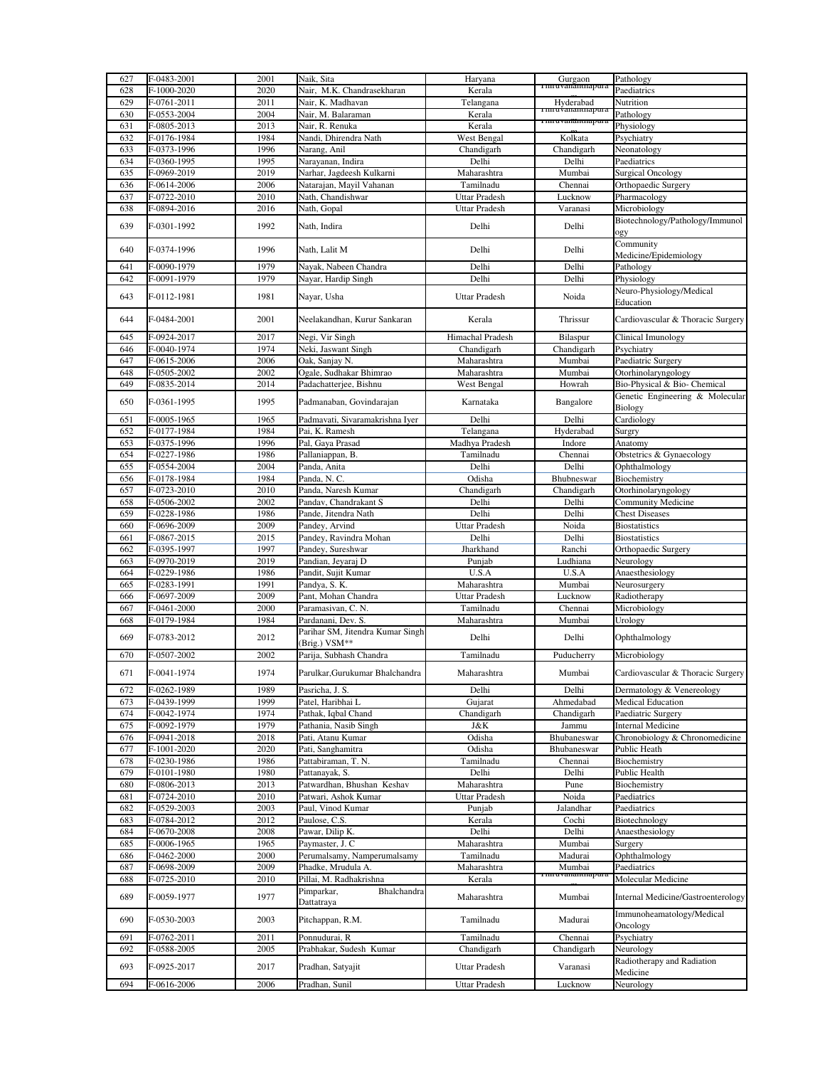| 627 | F-0483-2001 | 2001 | Naik, Sita                       | Haryana              |                                         | Pathology                                 |
|-----|-------------|------|----------------------------------|----------------------|-----------------------------------------|-------------------------------------------|
|     | F-1000-2020 |      |                                  | Kerala               | Gurgaon<br><del>1 mruvanantnapura</del> |                                           |
| 628 |             | 2020 | Nair, M.K. Chandrasekharan       |                      |                                         | Paediatrics                               |
| 629 | F-0761-2011 | 2011 | Nair, K. Madhavan                | Telangana            | Hyderabad<br>ı ımru∀ananınapu           | Nutrition                                 |
| 630 | F-0553-2004 | 2004 | Nair, M. Balaraman               | Kerala               |                                         | Pathology                                 |
| 631 | F-0805-2013 | 2013 | Nair, R. Renuka                  | Kerala               | ı mruvananunapu                         | Physiology                                |
| 632 | F-0176-1984 | 1984 | Nandi, Dhirendra Nath            | West Bengal          | Kolkata                                 | Psychiatry                                |
| 633 | F-0373-1996 | 1996 | Narang, Anil                     | Chandigarh           | Chandigarh                              | Neonatology                               |
| 634 | F-0360-1995 | 1995 | Narayanan, Indira                | Delhi                | Delhi                                   | Paediatrics                               |
| 635 | F-0969-2019 | 2019 | Narhar, Jagdeesh Kulkarni        | Maharashtra          | Mumbai                                  | <b>Surgical Oncology</b>                  |
| 636 | F-0614-2006 | 2006 | Natarajan, Mayil Vahanan         | Tamilnadu            | Chennai                                 | Orthopaedic Surgery                       |
|     |             |      |                                  |                      |                                         |                                           |
| 637 | F-0722-2010 | 2010 | Nath, Chandishwar                | Uttar Pradesh        | Lucknow                                 | Pharmacology                              |
| 638 | F-0894-2016 | 2016 | Nath, Gopal                      | Uttar Pradesh        | Varanasi                                | Microbiology                              |
| 639 | F-0301-1992 | 1992 | Nath, Indira                     | Delhi                | Delhi                                   | Biotechnology/Pathology/Immunol           |
|     |             |      |                                  |                      |                                         | ogy                                       |
| 640 | F-0374-1996 | 1996 | Nath, Lalit M                    | Delhi                | Delhi                                   | Community                                 |
|     |             |      |                                  |                      |                                         | Medicine/Epidemiology                     |
| 641 | F-0090-1979 | 1979 | Nayak, Nabeen Chandra            | Delhi                | Delhi                                   | Pathology                                 |
| 642 | F-0091-1979 | 1979 | Nayar, Hardip Singh              | Delhi                | Delhi                                   | Physiology                                |
|     |             |      |                                  |                      |                                         | Neuro-Physiology/Medical                  |
| 643 | F-0112-1981 | 1981 | Nayar, Usha                      | <b>Uttar Pradesh</b> | Noida                                   | Education                                 |
|     |             |      |                                  |                      |                                         |                                           |
| 644 | F-0484-2001 | 2001 | Neelakandhan, Kurur Sankaran     | Kerala               | Thrissur                                | Cardiovascular & Thoracic Surgery         |
|     |             |      |                                  |                      |                                         |                                           |
| 645 | F-0924-2017 | 2017 | Negi, Vir Singh                  | Himachal Pradesh     | Bilaspur                                | Clinical Imunology                        |
| 646 | F-0040-1974 | 1974 | Neki, Jaswant Singh              | Chandigarh           | Chandigarh                              | Psychiatry                                |
| 647 | F-0615-2006 | 2006 | Oak, Sanjay N.                   | Maharashtra          | Mumbai                                  | Paediatric Surgery                        |
| 648 | F-0505-2002 | 2002 | Ogale, Sudhakar Bhimrao          | Maharashtra          | Mumbai                                  | Otorhinolaryngology                       |
| 649 | F-0835-2014 | 2014 | Padachatterjee, Bishnu           | West Bengal          | Howrah                                  | Bio-Physical & Bio- Chemical              |
| 650 |             | 1995 | Padmanaban, Govindarajan         |                      |                                         | Genetic Engineering & Molecular           |
|     | F-0361-1995 |      |                                  | Karnataka            | Bangalore                               | Biology                                   |
| 651 | F-0005-1965 | 1965 | Padmavati, Sivaramakrishna Iyer  | Delhi                | Delhi                                   | Cardiology                                |
| 652 | F-0177-1984 | 1984 | Pai, K. Ramesh                   | Telangana            | Hyderabad                               | Surgry                                    |
| 653 | F-0375-1996 | 1996 | Pal, Gaya Prasad                 | Madhya Pradesh       | Indore                                  | Anatomy                                   |
| 654 | F-0227-1986 | 1986 | Pallaniappan, B.                 | Tamilnadu            | Chennai                                 | Obstetrics & Gynaecology                  |
| 655 |             | 2004 |                                  | Delhi                | Delhi                                   |                                           |
|     | F-0554-2004 |      | Panda, Anita                     |                      |                                         | Ophthalmology                             |
| 656 | F-0178-1984 | 1984 | Panda, N. C.                     | Odisha               | Bhubneswar                              | Biochemistry                              |
| 657 | F-0723-2010 | 2010 | Panda, Naresh Kumar              | Chandigarh           | Chandigarh                              | Otorhinolaryngology                       |
| 658 | F-0506-2002 | 2002 | Pandav, Chandrakant S            | Delhi                | Delhi                                   | Community Medicine                        |
| 659 | F-0228-1986 | 1986 | Pande, Jitendra Nath             | Delhi                | Delhi                                   | <b>Chest Diseases</b>                     |
| 660 | F-0696-2009 | 2009 | Pandey, Arvind                   | <b>Uttar Pradesh</b> | Noida                                   | <b>Biostatistics</b>                      |
| 661 | F-0867-2015 | 2015 | Pandey, Ravindra Mohan           | Delhi                | Delhi                                   | <b>Biostatistics</b>                      |
| 662 | F-0395-1997 | 1997 | Pandey, Sureshwar                | Jharkhand            | Ranchi                                  | Orthopaedic Surgery                       |
| 663 | F-0970-2019 | 2019 | Pandian, Jeyaraj D               | Punjab               | Ludhiana                                | Neurology                                 |
| 664 | F-0229-1986 | 1986 | Pandit, Sujit Kumar              | U.S.A                | U.S.A                                   | Anaesthesiology                           |
|     |             | 1991 |                                  |                      |                                         |                                           |
| 665 | F-0283-1991 |      | Pandya, S. K.                    | Maharashtra          | Mumbai                                  | Neurosurgery                              |
| 666 | F-0697-2009 | 2009 | Pant, Mohan Chandra              | Uttar Pradesh        | Lucknow                                 | Radiotherapy                              |
| 667 | F-0461-2000 | 2000 | Paramasivan, C. N.               | Tamilnadu            | Chennai                                 | Microbiology                              |
| 668 | F-0179-1984 | 1984 | Pardanani, Dev. S.               | Maharashtra          | Mumbai                                  | Urology                                   |
| 669 | F-0783-2012 | 2012 | Parihar SM, Jitendra Kumar Singh | Delhi                | Delhi                                   | Ophthalmology                             |
|     |             |      | Brig.) VSM**                     |                      |                                         |                                           |
| 670 | F-0507-2002 | 2002 | Parija, Subhash Chandra          | Tamilnadu            | Puducherry                              | Microbiology                              |
|     |             |      |                                  |                      |                                         |                                           |
| 671 | F-0041-1974 | 1974 | Parulkar.Gurukumar Bhalchandra   | Maharashtra          | Mumbai                                  | Cardiovascular & Thoracic Surgery         |
| 672 | F-0262-1989 | 1989 | Pasricha, J. S.                  | Delhi                | Delhi                                   | Dermatology & Venereology                 |
| 673 | F-0439-1999 | 1999 | Patel, Haribhai L                | Gujarat              | Ahmedabad                               | <b>Medical Education</b>                  |
| 674 | F-0042-1974 | 1974 | Pathak, Iqbal Chand              | Chandigarh           | Chandigarh                              | Paediatric Surgery                        |
| 675 | F-0092-1979 | 1979 | Pathania, Nasib Singh            | J&K                  | Jammu                                   | <b>Internal Medicine</b>                  |
| 676 | F-0941-2018 | 2018 | Pati, Atanu Kumar                | Odisha               | Bhubaneswar                             | Chronobiology & Chronomedicine            |
|     |             |      |                                  |                      |                                         |                                           |
| 677 | F-1001-2020 | 2020 | Pati, Sanghamitra                | Odisha               | Bhubaneswar                             | Public Heath                              |
| 678 | F-0230-1986 | 1986 | Pattabiraman, T. N.              | Tamilnadu            | Chennai                                 | Biochemistry                              |
| 679 | F-0101-1980 | 1980 | Pattanayak, S.                   | Delhi                | Delhi                                   | Public Health                             |
| 680 | F-0806-2013 | 2013 | Patwardhan, Bhushan Keshav       | Maharashtra          | Pune                                    | Biochemistry                              |
| 681 | F-0724-2010 | 2010 | Patwari, Ashok Kumar             | <b>Uttar Pradesh</b> | Noida                                   | Paediatrics                               |
| 682 | F-0529-2003 | 2003 | Paul, Vinod Kumar                | Punjab               | Jalandhar                               | Paediatrics                               |
| 683 | F-0784-2012 | 2012 | Paulose, C.S.                    | Kerala               | Cochi                                   | Biotechnology                             |
| 684 | F-0670-2008 | 2008 | Pawar, Dilip K.                  | Delhi                | Delhi                                   | Anaesthesiology                           |
| 685 | F-0006-1965 | 1965 | Paymaster, J. C                  | Maharashtra          | Mumbai                                  | Surgery                                   |
| 686 | F-0462-2000 | 2000 | Perumalsamy, Namperumalsamy      | Tamilnadu            | Madurai                                 | Ophthalmology                             |
|     |             |      |                                  |                      |                                         |                                           |
| 687 | F-0698-2009 | 2009 | Phadke, Mrudula A.               | Maharashtra          | Mumbai<br>rvanantnapur                  | Paediatrics                               |
| 688 | F-0725-2010 | 2010 | Pillai, M. Radhakrishna          | Kerala               |                                         | Molecular Medicine                        |
| 689 | F-0059-1977 | 1977 | Bhalchandra<br>Pimparkar,        | Maharashtra          | Mumbai                                  | <b>Internal Medicine/Gastroenterology</b> |
|     |             |      | Dattatraya                       |                      |                                         |                                           |
| 690 | F-0530-2003 | 2003 | Pitchappan, R.M.                 | Tamilnadu            | Madurai                                 | Immunoheamatology/Medical                 |
|     |             |      |                                  |                      |                                         | Oncology                                  |
| 691 | F-0762-2011 | 2011 | Ponnudurai, R                    | Tamilnadu            | Chennai                                 | Psychiatry                                |
| 692 | F-0588-2005 | 2005 | Prabhakar, Sudesh Kumar          | Chandigarh           | Chandigarh                              | Neurology                                 |
|     |             |      |                                  |                      |                                         | Radiotherapy and Radiation                |
| 693 | F-0925-2017 | 2017 | Pradhan, Satyajit                | Uttar Pradesh        | Varanasi                                | Medicine                                  |
|     | F-0616-2006 | 2006 | Pradhan, Sunil                   | Uttar Pradesh        | Lucknow                                 | Neurology                                 |
| 694 |             |      |                                  |                      |                                         |                                           |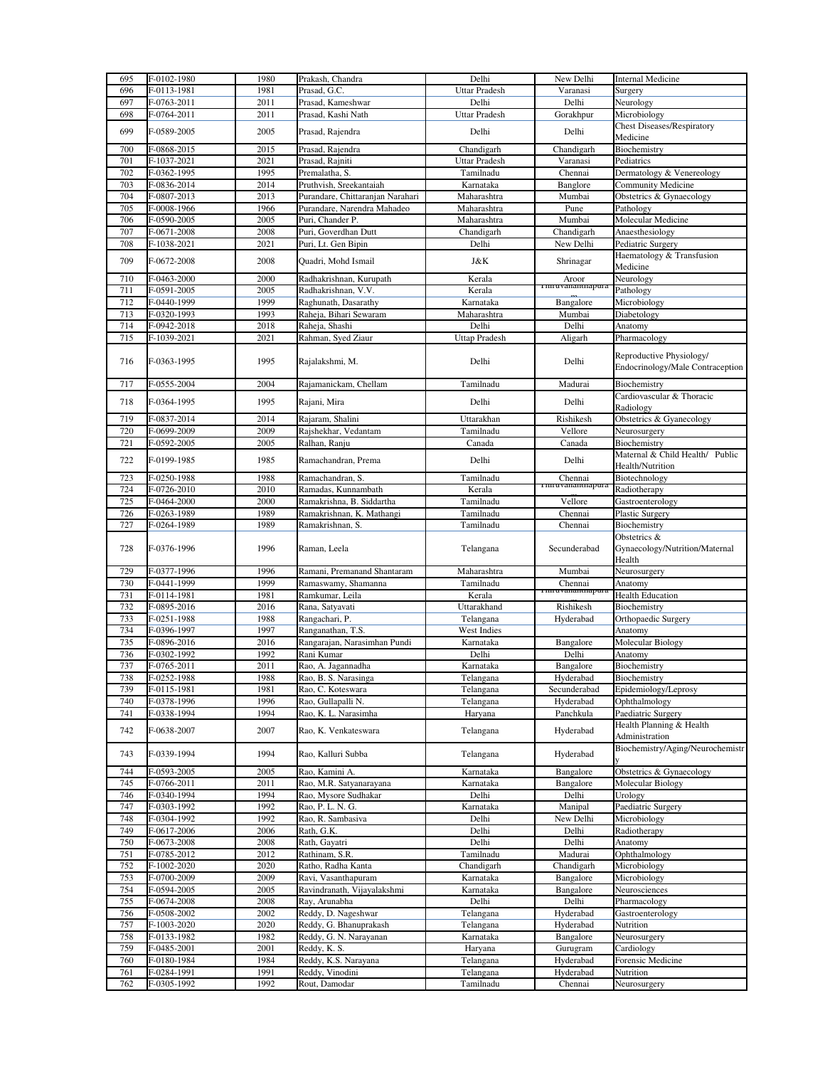| 695        | F-0102-1980                | 1980         | Prakash, Chandra                          | Delhi                  | New Delhi                     | <b>Internal Medicine</b>                                                       |
|------------|----------------------------|--------------|-------------------------------------------|------------------------|-------------------------------|--------------------------------------------------------------------------------|
| 696        | F-0113-1981                | 1981         | Prasad, G.C.                              | Uttar Pradesh          | Varanasi                      | Surgery                                                                        |
| 697        | F-0763-2011                | 2011         | Prasad, Kameshwar                         | Delhi                  | Delhi                         | Neurology                                                                      |
| 698        | F-0764-2011                | 2011         | Prasad, Kashi Nath                        | <b>Uttar Pradesh</b>   | Gorakhpur                     | Microbiology                                                                   |
|            |                            |              |                                           |                        |                               | <b>Chest Diseases/Respiratory</b>                                              |
| 699        | F-0589-2005                | 2005         | Prasad, Rajendra                          | Delhi                  | Delhi                         | Medicine                                                                       |
| 700        | F-0868-2015                | 2015         | Prasad, Rajendra                          | Chandigarh             | Chandigarh                    | Biochemistry                                                                   |
| 701        | F-1037-2021                | 2021         | Prasad, Rajniti                           | Uttar Pradesh          | Varanasi                      | Pediatrics                                                                     |
| 702        | F-0362-1995                | 1995         | Premalatha, S.                            | Tamilnadu              | Chennai                       | Dermatology & Venereology                                                      |
| 703        | F-0836-2014                | 2014         | Pruthvish, Sreekantaiah                   | Karnataka              | Banglore                      | Community Medicine                                                             |
| 704        | F-0807-2013                | 2013         | Purandare, Chittaranjan Narahari          | Maharashtra            | Mumbai                        | Obstetrics & Gynaecology                                                       |
| 705        | F-0008-1966                | 1966         | Purandare, Narendra Mahadeo               | Maharashtra            | Pune                          |                                                                                |
| 706        |                            | 2005         |                                           |                        | Mumbai                        | Pathology<br>Molecular Medicine                                                |
|            | F-0590-2005                | 2008         | Puri, Chander P.                          | Maharashtra            |                               |                                                                                |
| 707        | F-0671-2008                |              | Puri, Goverdhan Dutt                      | Chandigarh             | Chandigarh                    | Anaesthesiology                                                                |
| 708        | F-1038-2021                | 2021         | Puri, Lt. Gen Bipin                       | Delhi                  | New Delhi                     | Pediatric Surgery                                                              |
| 709        | F-0672-2008                | 2008         | Quadri, Mohd Ismail                       | J&K                    | Shrinagar                     | Haematology & Transfusion                                                      |
|            |                            |              |                                           |                        |                               | Medicine                                                                       |
| 710        | F-0463-2000                | 2000         | Radhakrishnan, Kurupath                   | Kerala                 | Aroor<br>1 miu vananuiapura   | Neurology                                                                      |
| 711        | F-0591-2005                | 2005         | Radhakrishnan, V.V.                       | Kerala                 |                               | Pathology                                                                      |
| 712        | F-0440-1999                | 1999         | Raghunath, Dasarathy                      | Karnataka              | Bangalore                     | Microbiology                                                                   |
| 713        | F-0320-1993                | 1993         | Raheja, Bihari Sewaram                    | Maharashtra            | Mumbai                        | Diabetology                                                                    |
| 714        | F-0942-2018                | 2018         | Raheja, Shashi                            | Delhi                  | Delhi                         | Anatomy                                                                        |
| 715        | F-1039-2021                | 2021         | Rahman, Syed Ziaur                        | <b>Uttap Pradesh</b>   | Aligarh                       | Pharmacology                                                                   |
| 716        | F-0363-1995                | 1995         | Rajalakshmi, M.                           | Delhi                  | Delhi                         | Reproductive Physiology/<br>Endocrinology/Male Contraception                   |
| 717        | F-0555-2004                | 2004         | Rajamanickam, Chellam                     | Tamilnadu              | Madurai                       | Biochemistry                                                                   |
| 718        | F-0364-1995                | 1995         | Rajani, Mira                              | Delhi                  | Delhi                         | Cardiovascular & Thoracic                                                      |
|            |                            |              |                                           |                        |                               | Radiology                                                                      |
| 719        | F-0837-2014                | 2014         | Rajaram, Shalini                          | Uttarakhan             | Rishikesh                     | Obstetrics & Gyanecology                                                       |
| 720        | F-0699-2009                | 2009         | Rajshekhar, Vedantam                      | Tamilnadu              | Vellore                       | Neurosurgery                                                                   |
| 721        | F-0592-2005                | 2005         | Ralhan, Ranju                             | Canada                 | Canada                        | Biochemistry                                                                   |
| 722        | F-0199-1985                | 1985         | Ramachandran, Prema                       | Delhi                  | Delhi                         | Maternal & Child Health/ Public<br>Health/Nutrition                            |
| 723        | F-0250-1988                | 1988         | Ramachandran, S.                          | Tamilnadu              | Chennai<br>r im uvanantnapura | Biotechnology                                                                  |
| 724        | F-0726-2010                | 2010         | Ramadas, Kunnambath                       | Kerala                 |                               | Radiotherapy                                                                   |
| 725        | F-0464-2000                | 2000         | Ramakrishna, B. Siddartha                 | Tamilnadu              | Vellore                       | Gastroenterology                                                               |
| 726        | F-0263-1989                | 1989         | Ramakrishnan, K. Mathangi                 | Tamilnadu              | Chennai                       | <b>Plastic Surgery</b>                                                         |
| 727        | F-0264-1989                | 1989         | Ramakrishnan, S.                          | Tamilnadu              | Chennai                       | Biochemistry                                                                   |
|            |                            |              |                                           |                        |                               | Obstetrics &                                                                   |
| 728        | F-0376-1996                | 1996         | Raman, Leela                              | Telangana              | Secunderabad                  | Gynaecology/Nutrition/Maternal<br>Health                                       |
| 729        | F-0377-1996                | 1996         | Ramani, Premanand Shantaram               | Maharashtra            | Mumbai                        | Neurosurgery                                                                   |
| 730        | F-0441-1999                | 1999         | Ramaswamy, Shamanna                       | Tamilnadu              | Chennai                       | Anatomy                                                                        |
| 731        | F-0114-1981                | 1981         | Ramkumar, Leila                           | Kerala                 | i iii u vanantnapura          | <b>Health Education</b>                                                        |
| 732        | F-0895-2016                | 2016         | Rana, Satyavati                           | Uttarakhand            | Rishikesh                     | Biochemistry                                                                   |
| 733        | F-0251-1988                | 1988         | Rangachari, P.                            | Telangana              | Hyderabad                     | Orthopaedic Surgery                                                            |
| 734        | F-0396-1997                | 1997         | Ranganathan, T.S.                         | West Indies            |                               | Anatomy                                                                        |
| 735        | F-0896-2016                | 2016         | Rangarajan, Narasimhan Pundi              | Karnataka              | Bangalore                     | Molecular Biology                                                              |
| 736        | F-0302-1992                | 1992         | Rani Kumar                                | Delhi                  | Delhi                         | Anatomy                                                                        |
| 737        | F-0765-2011                | 2011         | Rao, A. Jagannadha                        | Karnataka              | Bangalore                     | Biochemistry                                                                   |
| 738        | F-0252-1988                | 1988         |                                           | Telangana              | Hyderabad                     | Biochemistry                                                                   |
| 739        | F-0115-1981                | 1981         | Rao, B. S. Narasinga<br>Rao, C. Koteswara | Telangana              | Secunderabad                  | Epidemiology/Leprosy                                                           |
| 740        | F-0378-1996                | 1996         | Rao, Gullapalli N.                        | Telangana              | Hyderabad                     | Ophthalmology                                                                  |
|            |                            | 1994         |                                           |                        |                               |                                                                                |
| 741        | F-0338-1994                |              | Rao, K. L. Narasimha                      | Haryana                | Panchkula                     | Paediatric Surgery                                                             |
| 742        | F-0638-2007                | 2007         | Rao, K. Venkateswara                      | Telangana              | Hyderabad                     | Health Planning & Health<br>Administration<br>Biochemistry/Aging/Neurochemistr |
| 743        | F-0339-1994                | 1994         | Rao, Kalluri Subba                        | Telangana              | Hyderabad                     |                                                                                |
| 744        | F-0593-2005                | 2005         | Rao, Kamini A.                            | Karnataka              | Bangalore                     | Obstetrics & Gynaecology                                                       |
| 745        | F-0766-2011                | 2011         | Rao, M.R. Satyanarayana                   | Karnataka              | Bangalore                     | Molecular Biology                                                              |
| 746        | F-0340-1994                | 1994         | Rao, Mysore Sudhakar                      | Delhi                  | Delhi                         | Urology                                                                        |
| 747        | F-0303-1992                | 1992         | Rao, P. L. N. G.                          | Karnataka              | Manipal                       | Paediatric Surgery                                                             |
| 748        | F-0304-1992                | 1992         | Rao, R. Sambasiva                         | Delhi                  | New Delhi                     | Microbiology                                                                   |
| 749        | F-0617-2006                | 2006         | Rath, G.K.                                | Delhi                  | Delhi                         | Radiotherapy                                                                   |
|            |                            |              |                                           |                        |                               |                                                                                |
| 750        | F-0673-2008                | 2008         | Rath, Gayatri                             | Delhi                  | Delhi                         | Anatomy                                                                        |
| 751        | F-0785-2012                | 2012         | Rathinam, S.R.                            | Tamilnadu              | Madurai                       | Ophthalmology                                                                  |
| 752        | F-1002-2020                | 2020         | Ratho, Radha Kanta                        | Chandigarh             | Chandigarh                    | Microbiology                                                                   |
| 753        | F-0700-2009                | 2009         | Ravi, Vasanthapuram                       | Karnataka              | Bangalore                     | Microbiology                                                                   |
| 754        | F-0594-2005                | 2005         | Ravindranath, Vijayalakshmi               | Karnataka              | Bangalore                     | Neurosciences                                                                  |
| 755        | F-0674-2008                | 2008         | Ray, Arunabha                             | Delhi                  | Delhi                         | Pharmacology                                                                   |
| 756        | F-0508-2002                | 2002         | Reddy, D. Nageshwar                       | Telangana              | Hyderabad                     | Gastroenterology                                                               |
| 757        | F-1003-2020                | 2020         | Reddy, G. Bhanuprakash                    | Telangana              | Hyderabad                     | Nutrition                                                                      |
| 758        | $\overline{F-0}$ 133-1982  | 1982         | Reddy, G. N. Narayanan                    | Karnataka              | Bangalore                     | Neurosurgery                                                                   |
| 759        | F-0485-2001                | 2001         | Reddy, K. S.                              | Haryana                | Gurugram                      | Cardiology                                                                     |
| 760        | F-0180-1984                | 1984         | Reddy, K.S. Narayana                      | Telangana              | Hyderabad                     | Forensic Medicine                                                              |
| 761<br>762 | F-0284-1991<br>F-0305-1992 | 1991<br>1992 | Reddy, Vinodini<br>Rout, Damodar          | Telangana<br>Tamilnadu | Hyderabad<br>Chennai          | Nutrition<br>Neurosurgery                                                      |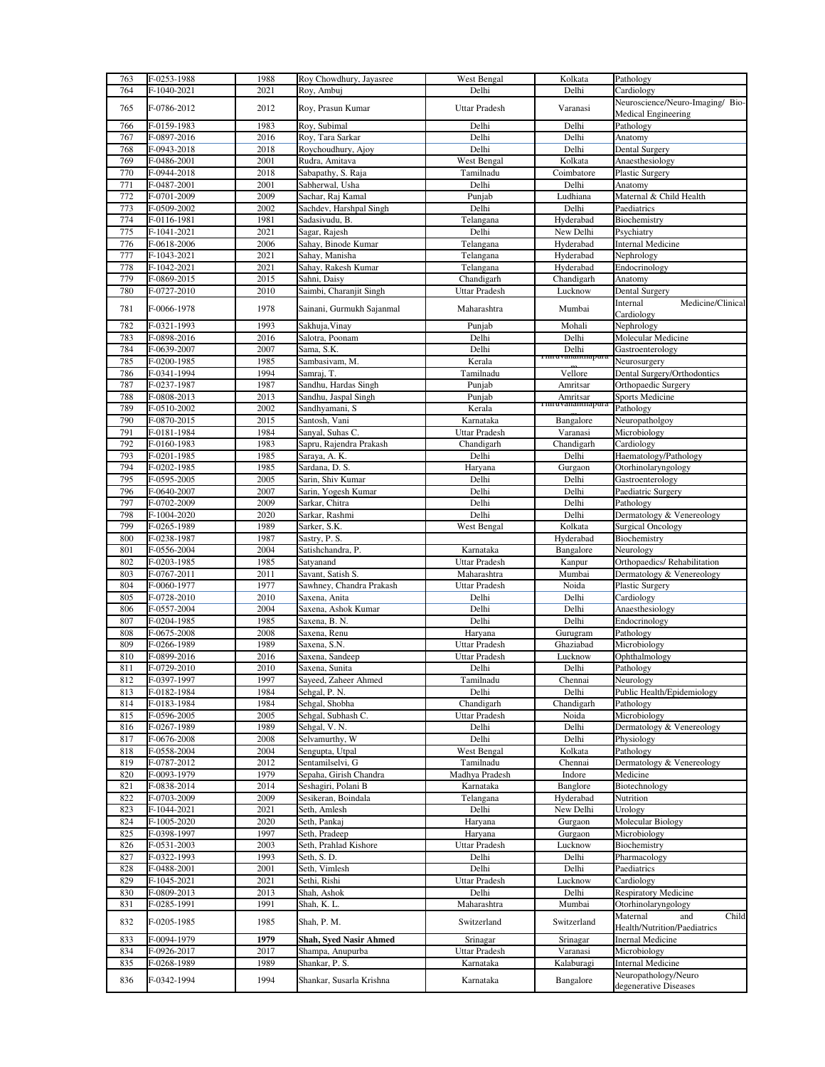| 763 | F-0253-1988 | 1988 | Roy Chowdhury, Jayasree   | West Bengal          | Kolkata                  | Pathology                        |
|-----|-------------|------|---------------------------|----------------------|--------------------------|----------------------------------|
| 764 | F-1040-2021 | 2021 | Roy, Ambuj                | Delhi                | Delhi                    | Cardiology                       |
|     |             |      |                           |                      |                          | Neuroscience/Neuro-Imaging/ Bio- |
| 765 | F-0786-2012 | 2012 | Roy, Prasun Kumar         | <b>Uttar Pradesh</b> | Varanasi                 | Medical Engineering              |
| 766 | F-0159-1983 | 1983 | Roy, Subimal              | Delhi                | Delhi                    | Pathology                        |
| 767 |             | 2016 |                           | Delhi                | Delhi                    |                                  |
|     | F-0897-2016 |      | Roy, Tara Sarkar          |                      |                          | Anatomy                          |
| 768 | F-0943-2018 | 2018 | Roychoudhury, Ajoy        | Delhi                | Delhi                    | Dental Surgery                   |
| 769 | F-0486-2001 | 2001 | Rudra, Amitava            | West Bengal          | Kolkata                  | Anaesthesiology                  |
| 770 | F-0944-2018 | 2018 | Sabapathy, S. Raja        | Tamilnadu            | Coimbatore               | Plastic Surgery                  |
| 771 | F-0487-2001 | 2001 | Sabherwal, Usha           | Delhi                | Delhi                    | Anatomy                          |
| 772 | F-0701-2009 | 2009 | Sachar, Raj Kamal         | Punjab               | Ludhiana                 | Maternal & Child Health          |
| 773 | F-0509-2002 | 2002 | Sachdev, Harshpal Singh   | Delhi                | Delhi                    | Paediatrics                      |
| 774 | F-0116-1981 | 1981 | Sadasivudu, B.            | Telangana            | Hyderabad                | Biochemistry                     |
| 775 | F-1041-2021 | 2021 | Sagar, Rajesh             | Delhi                | New Delhi                | Psychiatry                       |
|     |             |      |                           |                      |                          |                                  |
| 776 | F-0618-2006 | 2006 | Sahay, Binode Kumar       | Telangana            | Hyderabad                | <b>Internal Medicine</b>         |
| 777 | F-1043-2021 | 2021 | Sahay, Manisha            | Telangana            | Hyderabad                | Nephrology                       |
| 778 | F-1042-2021 | 2021 | Sahay, Rakesh Kumar       | Telangana            | Hyderabad                | Endocrinology                    |
| 779 | F-0869-2015 | 2015 | Sahni, Daisy              | Chandigarh           | Chandigarh               | Anatomy                          |
| 780 | F-0727-2010 | 2010 | Saimbi, Charanjit Singh   | Uttar Pradesh        | Lucknow                  | Dental Surgery                   |
|     |             |      |                           |                      |                          | Internal<br>Medicine/Clinical    |
| 781 | F-0066-1978 | 1978 | Sainani, Gurmukh Sajanmal | Maharashtra          | Mumbai                   | Cardiology                       |
| 782 | F-0321-1993 | 1993 | Sakhuja, Vinay            | Punjab               | Mohali                   | Nephrology                       |
| 783 | F-0898-2016 | 2016 | Salotra, Poonam           | Delhi                | Delhi                    | Molecular Medicine               |
| 784 |             |      | Sama, S.K.                | Delhi                |                          |                                  |
|     | F-0639-2007 | 2007 |                           |                      | Delhi<br>Timuvananmapura | Gastroenterology                 |
| 785 | F-0200-1985 | 1985 | Sambasivam, M.            | Kerala               |                          | Neurosurgery                     |
| 786 | F-0341-1994 | 1994 | Samraj, T.                | Tamilnadu            | Vellore                  | Dental Surgery/Orthodontics      |
| 787 | F-0237-1987 | 1987 | Sandhu, Hardas Singh      | Punjab               | Amritsar                 | Orthopaedic Surgery              |
| 788 | F-0808-2013 | 2013 | Sandhu, Jaspal Singh      | Punjab               | Amritsar                 | Sports Medicine                  |
| 789 | F-0510-2002 | 2002 | Sandhyamani, S            | Kerala               | 1 iii u vananuiapura     | Pathology                        |
| 790 | F-0870-2015 | 2015 | Santosh, Vani             | Karnataka            | Bangalore                | Neuropatholgoy                   |
| 791 | F-0181-1984 | 1984 | Sanyal, Suhas C.          | <b>Uttar Pradesh</b> | Varanasi                 | Microbiology                     |
| 792 | F-0160-1983 | 1983 | Sapru, Rajendra Prakash   | Chandigarh           | Chandigarh               | Cardiology                       |
| 793 |             |      |                           | Delhi                | Delhi                    |                                  |
|     | F-0201-1985 | 1985 | Saraya, A. K.             |                      |                          | Haematology/Pathology            |
| 794 | F-0202-1985 | 1985 | Sardana, D. S.            | Haryana              | Gurgaon                  | Otorhinolaryngology              |
| 795 | F-0595-2005 | 2005 | Sarin, Shiv Kumar         | Delhi                | Delhi                    | Gastroenterology                 |
| 796 | F-0640-2007 | 2007 | Sarin, Yogesh Kumar       | Delhi                | Delhi                    | Paediatric Surgery               |
| 797 | F-0702-2009 | 2009 | Sarkar, Chitra            | Delhi                | Delhi                    | Pathology                        |
| 798 | F-1004-2020 | 2020 | Sarkar, Rashmi            | Delhi                | Delhi                    | Dermatology & Venereology        |
| 799 | F-0265-1989 | 1989 | Sarker, S.K.              | West Bengal          | Kolkata                  | <b>Surgical Oncology</b>         |
|     |             |      |                           |                      |                          |                                  |
|     |             |      |                           |                      |                          |                                  |
| 800 | F-0238-1987 | 1987 | Sastry, P. S.             |                      | Hyderabad                | Biochemistry                     |
| 801 | F-0556-2004 | 2004 | Satishchandra, P.         | Karnataka            | Bangalore                | Neurology                        |
| 802 | F-0203-1985 | 1985 | Satyanand                 | <b>Uttar Pradesh</b> | Kanpur                   | Orthopaedics/Rehabilitation      |
| 803 | F-0767-2011 | 2011 | Savant, Satish S.         | Maharashtra          | Mumbai                   | Dermatology & Venereology        |
| 804 | F-0060-1977 | 1977 | Sawhney, Chandra Prakash  | Uttar Pradesh        | Noida                    | Plastic Surgery                  |
| 805 | F-0728-2010 | 2010 | Saxena, Anita             | Delhi                | Delhi                    | Cardiology                       |
| 806 | F-0557-2004 | 2004 | Saxena, Ashok Kumar       | Delhi                | Delhi                    | Anaesthesiology                  |
| 807 | F-0204-1985 | 1985 | Saxena, B. N.             | Delhi                | Delhi                    |                                  |
|     |             |      |                           |                      |                          | Endocrinology                    |
| 808 | F-0675-2008 | 2008 | Saxena, Renu              | Haryana              | Gurugram                 | Pathology                        |
| 809 | F-0266-1989 | 1989 | Saxena, S.N.              | Uttar Pradesh        | Ghaziabad                | Microbiology                     |
| 810 | F-0899-2016 | 2016 | Saxena, Sandeep           | <b>Uttar Pradesh</b> | Lucknow                  | Ophthalmology                    |
| 811 | F-0729-2010 | 2010 | Saxena, Sunita            | Delhi                | Delhi                    | Pathology                        |
| 812 | F-0397-1997 | 1997 | Sayeed, Zaheer Ahmed      | Tamilnadu            | Chennai                  | Neurology                        |
| 813 | F-0182-1984 | 1984 | Sehgal, P. N.             | Delhi                | Delhi                    | Public Health/Epidemiology       |
| 814 | F-0183-1984 | 1984 | Sehgal, Shobha            | Chandigarh           | Chandigarh               | Pathology                        |
| 815 | F-0596-2005 | 2005 | Sehgal, Subhash C.        | Uttar Pradesh        | Noida                    | Microbiology                     |
| 816 | F-0267-1989 | 1989 | Sehgal, V. N.             | Delhi                | Delhi                    | Dermatology & Venereology        |
| 817 | F-0676-2008 | 2008 | Selvamurthy, W            | Delhi                | Delhi                    | Physiology                       |
| 818 | F-0558-2004 | 2004 | Sengupta, Utpal           | West Bengal          | Kolkata                  | Pathology                        |
| 819 | F-0787-2012 | 2012 | Sentamilselvi, G          | Tamilnadu            | Chennai                  | Dermatology & Venereology        |
|     |             |      |                           |                      |                          |                                  |
| 820 | F-0093-1979 | 1979 | Sepaha, Girish Chandra    | Madhya Pradesh       | Indore                   | Medicine                         |
| 821 | F-0838-2014 | 2014 | Seshagiri, Polani B       | Karnataka            | Banglore                 | Biotechnology                    |
| 822 | F-0703-2009 | 2009 | Sesikeran, Boindala       | Telangana            | Hyderabad                | Nutrition                        |
| 823 | F-1044-2021 | 2021 | Seth, Amlesh              | Delhi                | New Delhi                | Urology                          |
| 824 | F-1005-2020 | 2020 | Seth, Pankaj              | Haryana              | Gurgaon                  | Molecular Biology                |
| 825 | F-0398-1997 | 1997 | Seth, Pradeep             | Haryana              | Gurgaon                  | Microbiology                     |
| 826 | F-0531-2003 | 2003 | Seth, Prahlad Kishore     | <b>Uttar Pradesh</b> | Lucknow                  | Biochemistry                     |
| 827 | F-0322-1993 | 1993 | Seth, S.D.                | Delhi                | Delhi                    | Pharmacology                     |
| 828 | F-0488-2001 | 2001 | Seth, Vimlesh             | Delhi                | Delhi                    | Paediatrics                      |
| 829 |             |      |                           |                      |                          |                                  |
|     | F-1045-2021 | 2021 | Sethi, Rishi              | Uttar Pradesh        | Lucknow                  | Cardiology                       |
| 830 | F-0809-2013 | 2013 | Shah, Ashok               | Delhi                | Delhi                    | <b>Respiratory Medicine</b>      |
| 831 | F-0285-1991 | 1991 | Shah, K. L.               | Maharashtra          | Mumbai                   | Otorhinolaryngology              |
| 832 | F-0205-1985 | 1985 | Shah, P. M.               | Switzerland          | Switzerland              | Maternal<br>Child<br>and         |
|     |             |      |                           |                      |                          | Health/Nutrition/Paediatrics     |
| 833 | F-0094-1979 | 1979 | Shah, Syed Nasir Ahmed    | Srinagar             | Srinagar                 | <b>Inernal Medicine</b>          |
| 834 | F-0926-2017 | 2017 | Shampa, Anupurba          | Uttar Pradesh        | Varanasi                 | Microbiology                     |
| 835 | F-0268-1989 | 1989 | Shankar, P. S.            | Karnataka            | Kalaburagi               | <b>Internal Medicine</b>         |
| 836 | F-0342-1994 | 1994 | Shankar, Susarla Krishna  | Karnataka            | Bangalore                | Neuropathology/Neuro             |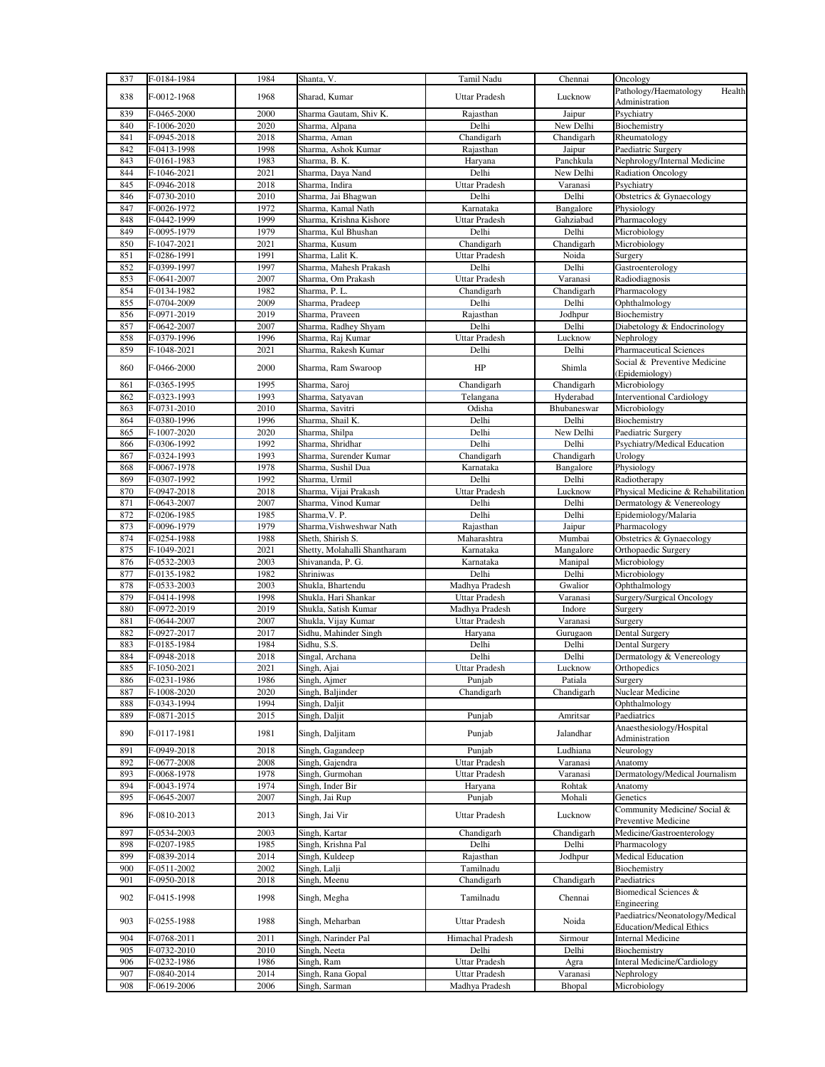| 837        | F-0184-1984                | 1984         | Shanta, V.                                   | Tamil Nadu                     | Chennai             | Oncology                                                           |
|------------|----------------------------|--------------|----------------------------------------------|--------------------------------|---------------------|--------------------------------------------------------------------|
| 838        | F-0012-1968                | 1968         | Sharad, Kumar                                | <b>Uttar Pradesh</b>           | Lucknow             | Pathology/Haematology<br>Health<br>Administration                  |
| 839        | F-0465-2000                | 2000         | Sharma Gautam, Shiv K.                       | Rajasthan                      | Jaipur              | Psychiatry                                                         |
| 840        | F-1006-2020                | 2020         | Sharma, Alpana                               | Delhi                          | New Delhi           | Biochemistry                                                       |
| 841<br>842 | F-0945-2018                | 2018<br>1998 | Sharma, Aman                                 | Chandigarh<br>Rajasthan        | Chandigarh          | Rheumatology                                                       |
| 843        | F-0413-1998<br>F-0161-1983 | 1983         | Sharma, Ashok Kumar<br>Sharma, B. K.         | Haryana                        | Jaipur<br>Panchkula | Paediatric Surgery<br>Nephrology/Internal Medicine                 |
| 844        | F-1046-2021                | 2021         | Sharma, Daya Nand                            | Delhi                          | New Delhi           | <b>Radiation Oncology</b>                                          |
| 845        | F-0946-2018                | 2018         | Sharma, Indira                               | <b>Uttar Pradesh</b>           | Varanasi            | Psychiatry                                                         |
| 846        | F-0730-2010                | 2010         | Sharma, Jai Bhagwan                          | Delhi                          | Delhi               | Obstetrics & Gynaecology                                           |
| 847        | F-0026-1972                | 1972         | Sharma, Kamal Nath                           | Karnataka                      | Bangalore           | Physiology                                                         |
| 848        | F-0442-1999                | 1999         | Sharma, Krishna Kishore                      | <b>Uttar Pradesh</b>           | Gahziabad           | Pharmacology                                                       |
| 849        | F-0095-1979                | 1979         | Sharma, Kul Bhushan                          | Delhi                          | Delhi               | Microbiology                                                       |
| 850        | F-1047-2021                | 2021         | Sharma, Kusum                                | Chandigarh                     | Chandigarh          | Microbiology                                                       |
| 851        | F-0286-1991                | 1991         | Sharma, Lalit K.                             | <b>Uttar Pradesh</b>           | Noida               | Surgery                                                            |
| 852        | F-0399-1997                | 1997         | Sharma, Mahesh Prakash                       | Delhi                          | Delhi               | Gastroenterology                                                   |
| 853        | F-0641-2007                | 2007         | Sharma, Om Prakash                           | <b>Uttar Pradesh</b>           | Varanasi            | Radiodiagnosis                                                     |
| 854        | F-0134-1982                | 1982         | Sharma, P. L.                                | Chandigarh                     | Chandigarh          | Pharmacology                                                       |
| 855        | F-0704-2009                | 2009         | Sharma, Pradeep                              | Delhi                          | Delhi               | Ophthalmology                                                      |
| 856<br>857 | F-0971-2019<br>F-0642-2007 | 2019<br>2007 | Sharma, Praveen<br>Sharma, Radhey Shyam      | Rajasthan<br>Delhi             | Jodhpur<br>Delhi    | Biochemistry<br>Diabetology & Endocrinology                        |
| 858        | F-0379-1996                | 1996         | Sharma, Raj Kumar                            | Uttar Pradesh                  | Lucknow             | Nephrology                                                         |
| 859        | F-1048-2021                | 2021         | Sharma, Rakesh Kumar                         | Delhi                          | Delhi               | <b>Pharmaceutical Sciences</b>                                     |
|            |                            |              |                                              |                                |                     | Social & Preventive Medicine                                       |
| 860        | F-0466-2000                | 2000         | Sharma, Ram Swaroop                          | HP                             | Shimla              | (Epidemiology)                                                     |
| 861        | F-0365-1995                | 1995         | Sharma, Saroj                                | Chandigarh                     | Chandigarh          | Microbiology                                                       |
| 862        | F-0323-1993                | 1993         | Sharma, Satyavan                             | Telangana                      | Hyderabad           | <b>Interventional Cardiology</b>                                   |
| 863        | F-0731-2010                | 2010         | Sharma, Savitri                              | Odisha                         | Bhubaneswar         | Microbiology                                                       |
| 864        | F-0380-1996                | 1996         | Sharma, Shail K.                             | Delhi                          | Delhi               | Biochemistry                                                       |
| 865        | F-1007-2020                | 2020         | Sharma, Shilpa                               | Delhi                          | New Delhi           | Paediatric Surgery                                                 |
| 866        | F-0306-1992                | 1992         | Sharma, Shridhar                             | Delhi                          | Delhi               | Psychiatry/Medical Education                                       |
| 867        | F-0324-1993                | 1993         | Sharma, Surender Kumar                       | Chandigarh                     | Chandigarh          | Urology                                                            |
| 868        | F-0067-1978                | 1978         | Sharma, Sushil Dua                           | Karnataka                      | Bangalore           | Physiology                                                         |
| 869        | F-0307-1992                | 1992         | Sharma, Urmil                                | Delhi                          | Delhi               | Radiotherapy                                                       |
| 870<br>871 | F-0947-2018<br>F-0643-2007 | 2018<br>2007 | Sharma, Vijai Prakash<br>Sharma, Vinod Kumar | Uttar Pradesh<br>Delhi         | Lucknow<br>Delhi    | Physical Medicine & Rehabilitation<br>Dermatology & Venereology    |
| 872        | F-0206-1985                | 1985         | Sharma, V. P.                                | Delhi                          | Delhi               | Epidemiology/Malaria                                               |
| 873        | F-0096-1979                | 1979         | Sharma, Vishweshwar Nath                     | Rajasthan                      | Jaipur              | Pharmacology                                                       |
| 874        | F-0254-1988                | 1988         | Sheth, Shirish S.                            | Maharashtra                    | Mumbai              | Obstetrics & Gynaecology                                           |
| 875        | F-1049-2021                | 2021         | Shetty, Molahalli Shantharam                 | Karnataka                      | Mangalore           | Orthopaedic Surgery                                                |
| 876        | F-0532-2003                | 2003         | Shivananda, P. G.                            | Karnataka                      | Manipal             | Microbiology                                                       |
| 877        | F-0135-1982                | 1982         | Shriniwas                                    | Delhi                          | Delhi               | Microbiology                                                       |
| 878        | F-0533-2003                | 2003         | Shukla, Bhartendu                            | Madhya Pradesh                 | Gwalior             | Ophthalmology                                                      |
| 879        | F-0414-1998                | 1998         | Shukla, Hari Shankar                         | Uttar Pradesh                  | Varanasi            | Surgery/Surgical Oncology                                          |
| 880        | F-0972-2019                | 2019         | Shukla, Satish Kumar                         | Madhya Pradesh                 | Indore              | Surgery                                                            |
| 881        | F-0644-2007                | 2007         | Shukla, Vijay Kumar                          | <b>Uttar Pradesh</b>           | Varanasi            | Surgery                                                            |
| 882        | F-0927-2017                | 2017         | Sidhu, Mahinder Singh                        | Haryana                        | Gurugaon            | Dental Surgery                                                     |
| 883        | F-0185-1984                | 1984         | Sidhu, S.S.                                  | Delhi                          | Delhi               | Dental Surgery                                                     |
| 884        | F-0948-2018                | 2018         | Singal, Archana                              | Delhi                          | Delhi               | Dermatology & Venereology                                          |
| 885<br>886 | F-1050-2021<br>F-0231-1986 | 2021<br>1986 | Singh, Ajai                                  | <b>Uttar Pradesh</b><br>Punjab | Lucknow<br>Patiala  | Orthopedics                                                        |
| 887        | F-1008-2020                | 2020         | Singh, Ajmer<br>Singh, Baljinder             | Chandigarh                     | Chandigarh          | Surgery<br>Nuclear Medicine                                        |
| 888        | F-0343-1994                | 1994         | Singh, Daljit                                |                                |                     | Ophthalmology                                                      |
| 889        | F-0871-2015                | 2015         | Singh, Daljit                                | Punjab                         | Amritsar            | Paediatrics                                                        |
|            |                            |              |                                              |                                |                     | Anaesthesiology/Hospital                                           |
| 890        | F-0117-1981                | 1981         | Singh, Daljitam                              | Punjab                         | Jalandhar           | Administration                                                     |
| 891        | F-0949-2018                | 2018         | Singh, Gagandeep                             | Punjab                         | Ludhiana            | Neurology                                                          |
| 892        | F-0677-2008                | 2008         | Singh, Gajendra                              | <b>Uttar Pradesh</b>           | Varanasi            | Anatomy                                                            |
| 893        | F-0068-1978                | 1978         | Singh, Gurmohan                              | Uttar Pradesh                  | Varanasi            | Dermatology/Medical Journalism                                     |
| 894        | F-0043-1974                | 1974         | Singh, Inder Bir                             | Haryana                        | Rohtak              | Anatomy                                                            |
| 895        | F-0645-2007                | 2007         | Singh, Jai Rup                               | Punjab                         | Mohali              | Genetics                                                           |
| 896        | F-0810-2013                | 2013         | Singh, Jai Vir                               | <b>Uttar Pradesh</b>           | Lucknow             | Community Medicine/ Social &<br>Preventive Medicine                |
| 897        | F-0534-2003                | 2003         | Singh, Kartar                                | Chandigarh<br>Delhi            | Chandigarh          | Medicine/Gastroenterology                                          |
| 898<br>899 | F-0207-1985                | 1985         | Singh, Krishna Pal                           |                                | Delhi               | Pharmacology                                                       |
| 900        | F-0839-2014<br>F-0511-2002 | 2014<br>2002 | Singh, Kuldeep<br>Singh, Lalji               | Rajasthan<br>Tamilnadu         | Jodhpur             | <b>Medical Education</b><br>Biochemistry                           |
| 901        | F-0950-2018                | 2018         | Singh, Meenu                                 | Chandigarh                     | Chandigarh          | Paediatrics                                                        |
|            |                            |              |                                              |                                |                     | Biomedical Sciences &                                              |
| 902        | F-0415-1998                | 1998         | Singh, Megha                                 | Tamilnadu                      | Chennai             | Engineering                                                        |
| 903        | F-0255-1988                | 1988         | Singh, Meharban                              | Uttar Pradesh                  | Noida               | Paediatrics/Neonatology/Medical<br><b>Education/Medical Ethics</b> |
| 904        | F-0768-2011                | 2011         | Singh, Narinder Pal                          | Himachal Pradesh               | Sirmour             | <b>Internal Medicine</b>                                           |
| 905        | F-0732-2010                | 2010         | Singh, Neeta                                 | Delhi                          | Delhi               | Biochemistry                                                       |
| 906        | F-0232-1986                | 1986         | Singh, Ram                                   | Uttar Pradesh                  | Agra                | <b>Interal Medicine/Cardiology</b>                                 |
| 907        | F-0840-2014                | 2014         | Singh, Rana Gopal                            | Uttar Pradesh                  | Varanasi            | Nephrology                                                         |
| 908        | F-0619-2006                | 2006         | Singh, Sarman                                | Madhya Pradesh                 | Bhopal              | Microbiology                                                       |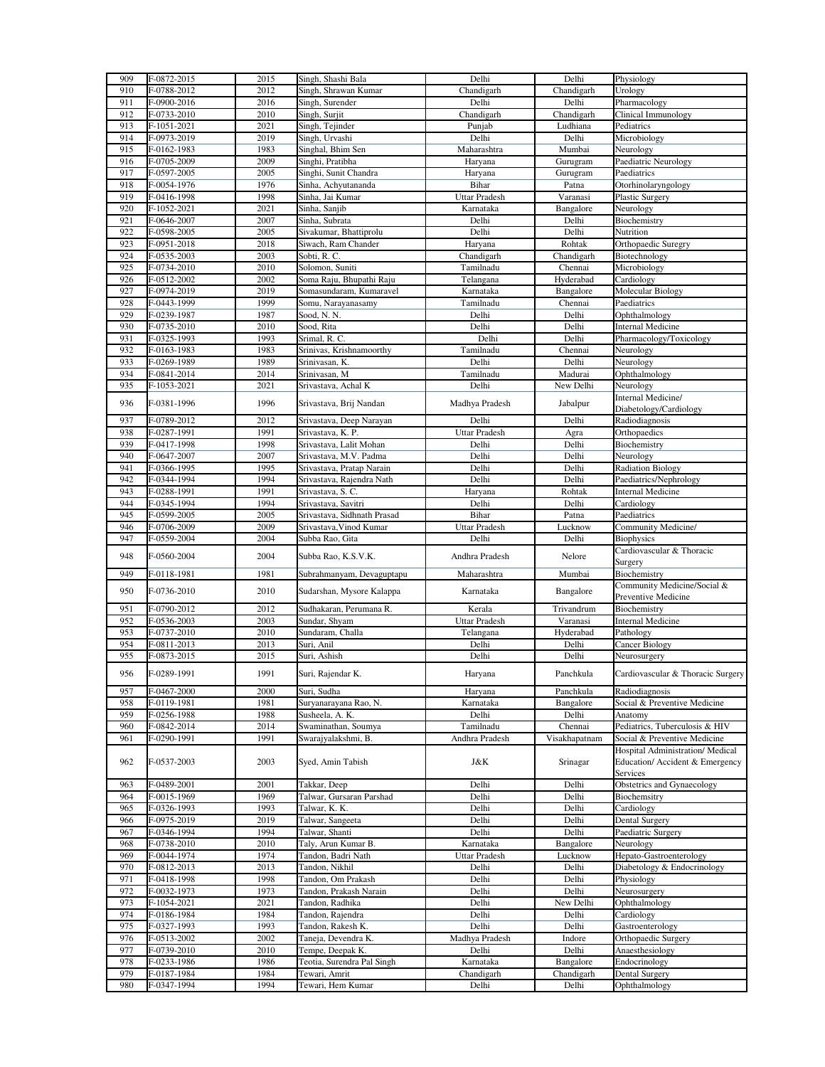| 909        | F-0872-2015                | 2015         | Singh, Shashi Bala                 | Delhi                | Delhi               | Physiology                        |
|------------|----------------------------|--------------|------------------------------------|----------------------|---------------------|-----------------------------------|
| 910        | F-0788-2012                | 2012         | Singh, Shrawan Kumar               | Chandigarh           | Chandigarh          | Urology                           |
| 911        | F-0900-2016                | 2016         | Singh, Surender                    | Delhi                | Delhi               | Pharmacology                      |
| 912        | F-0733-2010                | 2010         | Singh, Surjit                      | Chandigarh           | Chandigarh          | Clinical Immunology               |
| 913        | F-1051-2021                | 2021         | Singh, Tejinder                    | Punjab               | Ludhiana            | Pediatrics                        |
| 914        | F-0973-2019                | 2019         | Singh, Urvashi                     | Delhi                | Delhi               | Microbiology                      |
|            |                            |              |                                    |                      |                     |                                   |
| 915        | F-0162-1983                | 1983         | Singhal, Bhim Sen                  | Maharashtra          | Mumbai              | Neurology                         |
| 916        | F-0705-2009                | 2009         | Singhi, Pratibha                   | Haryana              | Gurugram            | Paediatric Neurology              |
| 917        | F-0597-2005                | 2005         | Singhi, Sunit Chandra              | Haryana              | Gurugram            | Paediatrics                       |
| 918        | F-0054-1976                | 1976         | Sinha, Achyutananda                | Bihar                | Patna               | Otorhinolaryngology               |
| 919        | F-0416-1998                | 1998         | Sinha, Jai Kumar                   | Uttar Pradesh        | Varanasi            | Plastic Surgery                   |
| 920        | F-1052-2021                | 2021         | Sinha, Sanjib                      | Karnataka            | Bangalore           | Neurology                         |
| 921        | F-0646-2007                | 2007         | Sinha, Subrata                     | Delhi                | Delhi               | Biochemistry                      |
| 922        | F-0598-2005                | 2005         | Sivakumar, Bhattiprolu             | Delhi                | Delhi               | Nutrition                         |
| 923        | F-0951-2018                | 2018         | Siwach, Ram Chander                | Haryana              | Rohtak              | Orthopaedic Suregry               |
| 924        | F-0535-2003                | 2003         | Sobti, R. C.                       | Chandigarh           | Chandigarh          | Biotechnology                     |
| 925        | F-0734-2010                | 2010         | Solomon, Suniti                    | Tamilnadu            | Chennai             | Microbiology                      |
| 926        |                            | 2002         |                                    |                      |                     |                                   |
|            | F-0512-2002                |              | Soma Raju, Bhupathi Raju           | Telangana            | Hyderabad           | Cardiology                        |
| 927        | F-0974-2019                | 2019         | Somasundaram, Kumaravel            | Karnataka            | Bangalore           | Molecular Biology                 |
| 928        | F-0443-1999                | 1999         | Somu, Narayanasamy                 | Tamilnadu            | Chennai             | Paediatrics                       |
| 929        | F-0239-1987                | 1987         | Sood, N. N.                        | Delhi                | Delhi               | Ophthalmology                     |
| 930        | F-0735-2010                | 2010         | Sood, Rita                         | Delhi                | Delhi               | <b>Internal Medicine</b>          |
| 931        | F-0325-1993                | 1993         | Srimal, R. C.                      | Delhi                | Delhi               | Pharmacology/Toxicology           |
| 932        | F-0163-1983                | 1983         | Srinivas, Krishnamoorthy           | Tamilnadu            | Chennai             | Neurology                         |
| 933        | F-0269-1989                | 1989         | Srinivasan, K.                     | Delhi                | Delhi               | Neurology                         |
| 934        | F-0841-2014                | 2014         | Srinivasan, M                      | Tamilnadu            | Madurai             | Ophthalmology                     |
| 935        | F-1053-2021                | 2021         | Srivastava, Achal K                | Delhi                | New Delhi           | Neurology                         |
|            |                            |              |                                    |                      |                     | Internal Medicine/                |
| 936        | F-0381-1996                | 1996         | Srivastava, Brij Nandan            | Madhya Pradesh       | Jabalpur            |                                   |
|            |                            |              |                                    |                      |                     | Diabetology/Cardiology            |
| 937        | F-0789-2012                | 2012         | Srivastava, Deep Narayan           | Delhi                | Delhi               | Radiodiagnosis                    |
| 938        | F-0287-1991                | 1991         | Srivastava, K. P.                  | <b>Uttar Pradesh</b> | Agra                | Orthopaedics                      |
| 939        | F-0417-1998                | 1998         | Srivastava, Lalit Mohan            | Delhi                | Delhi               | Biochemistry                      |
| 940        | F-0647-2007                | 2007         | Srivastava, M.V. Padma             | Delhi                | Delhi               | Neurology                         |
| 941        | F-0366-1995                | 1995         | Srivastava, Pratap Narain          | Delhi                | Delhi               | <b>Radiation Biology</b>          |
| 942        | F-0344-1994                | 1994         | Srivastava, Rajendra Nath          | Delhi                | Delhi               | Paediatrics/Nephrology            |
| 943        | F-0288-1991                | 1991         | Srivastava, S. C.                  | Haryana              | Rohtak              | <b>Internal Medicine</b>          |
| 944        | F-0345-1994                | 1994         | Srivastava, Savitri                | Delhi                | Delhi               | Cardiology                        |
| 945        | F-0599-2005                | 2005         | Srivastava, Sidhnath Prasad        | Bihar                | Patna               | Paediatrics                       |
| 946        | F-0706-2009                | 2009         | Srivastava, Vinod Kumar            | <b>Uttar Pradesh</b> | Lucknow             | Community Medicine/               |
|            |                            |              |                                    |                      |                     |                                   |
|            |                            |              |                                    |                      |                     |                                   |
| 947        | F-0559-2004                | 2004         | Subba Rao, Gita                    | Delhi                | Delhi               | <b>Biophysics</b>                 |
| 948        | F-0560-2004                | 2004         | Subba Rao, K.S.V.K.                | Andhra Pradesh       | Nelore              | Cardiovascular & Thoracic         |
|            |                            |              |                                    |                      |                     | Surgery                           |
| 949        | F-0118-1981                | 1981         | Subrahmanyam, Devaguptapu          | Maharashtra          | Mumbai              | Biochemistry                      |
|            |                            |              |                                    |                      |                     | Community Medicine/Social &       |
| 950        | F-0736-2010                | 2010         | Sudarshan, Mysore Kalappa          | Karnataka            | Bangalore           | Preventive Medicine               |
| 951        | F-0790-2012                | 2012         | Sudhakaran, Perumana R.            | Kerala               | Trivandrum          | Biochemistry                      |
| 952        | F-0536-2003                | 2003         | Sundar, Shyam                      | Uttar Pradesh        | Varanasi            | Internal Medicine                 |
| 953        | F-0737-2010                | 2010         | Sundaram, Challa                   | Telangana            | Hyderabad           | Pathology                         |
|            |                            |              |                                    |                      |                     |                                   |
| 954        | F-0811-2013                | 2013         | Suri, Anil                         | Delhi                | Delhi               | Cancer Biology                    |
| 955        | F-0873-2015                | 2015         | Suri, Ashish                       | Delhi                | Delhi               | Neurosurgery                      |
| 956        | F-0289-1991                | 1991         | Suri, Rajendar K.                  | Haryana              | Panchkula           | Cardiovascular & Thoracic Surgery |
|            |                            |              |                                    |                      |                     |                                   |
| 957        | F-0467-2000                | 2000         | Suri, Sudha                        | Haryana              | Panchkula           | Radiodiagnosis                    |
| 958        | F-0119-1981                | 1981         | Suryanarayana Rao, N.              | Karnataka            | Bangalore           | Social & Preventive Medicine      |
| 959        | F-0256-1988                | 1988         | Susheela, A. K.                    | Delhi                | Delhi               | Anatomy                           |
| 960        | F-0842-2014                | 2014         | Swaminathan, Soumya                | Tamilnadu            | Chennai             | Pediatrics, Tuberculosis & HIV    |
| 961        | F-0290-1991                | 1991         | Swarajyalakshmi, B.                | Andhra Pradesh       | Visakhapatnam       | Social & Preventive Medicine      |
|            |                            |              |                                    |                      |                     | Hospital Administration/ Medical  |
| 962        | F-0537-2003                | 2003         | Syed, Amin Tabish                  | J&K                  | Srinagar            | Education/ Accident & Emergency   |
|            |                            |              |                                    |                      |                     | Services                          |
| 963        | F-0489-2001                | 2001         | Takkar, Deep                       | Delhi                | Delhi               | Obstetrics and Gynaecology        |
| 964        | F-0015-1969                | 1969         | Talwar, Gursaran Parshad           | Delhi                | Delhi               | Biochemsitry                      |
|            | F-0326-1993                | 1993         |                                    |                      |                     |                                   |
| 965        |                            |              | Talwar, K. K.                      | Delhi                | Delhi               | Cardiology                        |
| 966        | F-0975-2019                | 2019         | Talwar, Sangeeta                   | Delhi                | Delhi               | Dental Surgery                    |
| 967        | F-0346-1994                | 1994         | Talwar, Shanti                     | Delhi                | Delhi               | Paediatric Surgery                |
| 968        | F-0738-2010                | 2010         | Taly, Arun Kumar B.                | Karnataka            | Bangalore           | Neurology                         |
| 969        | F-0044-1974                | 1974         | Tandon, Badri Nath                 | Uttar Pradesh        | Lucknow             | Hepato-Gastroenterology           |
| 970        | F-0812-2013                | 2013         | Tandon, Nikhil                     | Delhi                | Delhi               | Diabetology & Endocrinology       |
| 971        | F-0418-1998                | 1998         | Tandon, Om Prakash                 | Delhi                | Delhi               | Physiology                        |
| 972        | F-0032-1973                | 1973         | Tandon, Prakash Narain             | Delhi                | Delhi               | Neurosurgery                      |
| 973        | F-1054-2021                | 2021         | Tandon, Radhika                    | Delhi                | New Delhi           | Ophthalmology                     |
| 974        | F-0186-1984                | 1984         |                                    | Delhi                | Delhi               | Cardiology                        |
|            |                            |              | Tandon, Rajendra                   |                      |                     |                                   |
| 975        | F-0327-1993                | 1993         | Tandon, Rakesh K.                  | Delhi                | Delhi               | Gastroenterology                  |
| 976        | F-0513-2002                | 2002         | Taneja, Devendra K.                | Madhya Pradesh       | Indore              | Orthopaedic Surgery               |
| 977        | F-0739-2010                | 2010         | Tempe, Deepak K.                   | Delhi                | Delhi               | Anaesthesiology                   |
| 978        | F-0233-1986                | 1986         | Teotia, Surendra Pal Singh         | Karnataka            | Bangalore           | Endocrinology                     |
| 979<br>980 | F-0187-1984<br>F-0347-1994 | 1984<br>1994 | Tewari, Amrit<br>Tewari, Hem Kumar | Chandigarh<br>Delhi  | Chandigarh<br>Delhi | Dental Surgery<br>Ophthalmology   |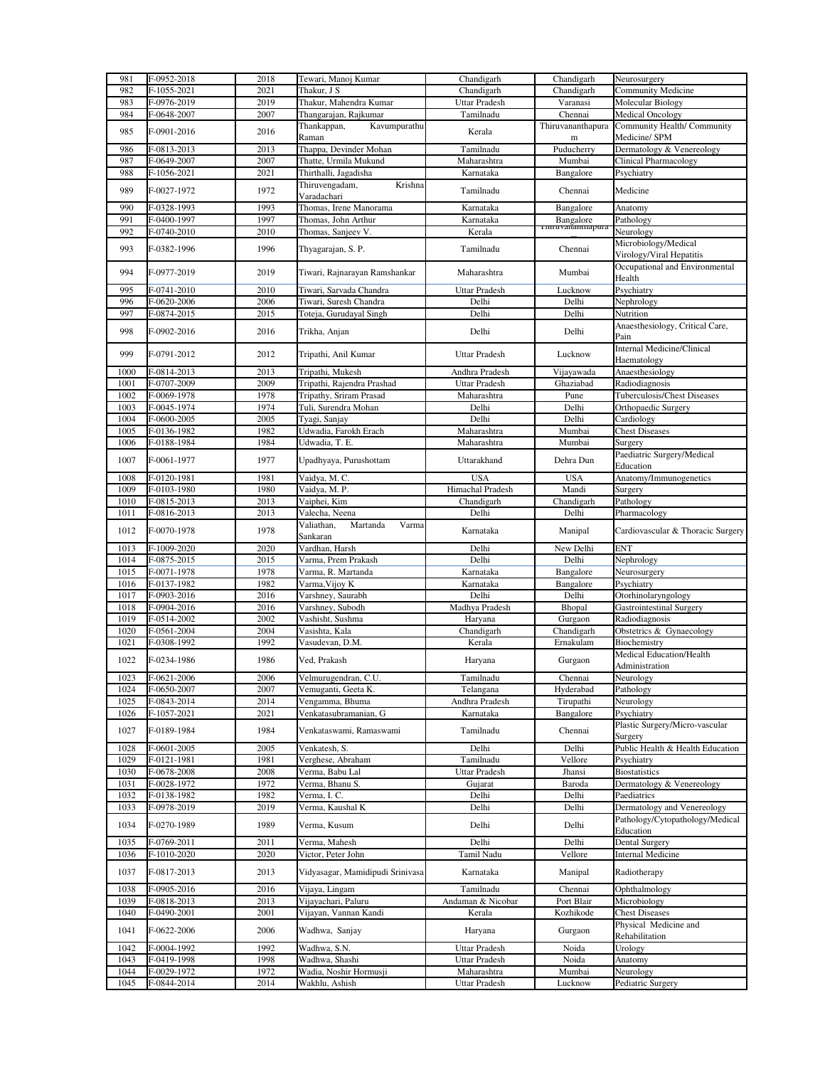| 981  | F-0952-2018 | 2018 | Tewari, Manoj Kumar              | Chandigarh           | Chandigarh                    | Neurosurgery                      |
|------|-------------|------|----------------------------------|----------------------|-------------------------------|-----------------------------------|
| 982  | F-1055-2021 | 2021 | Thakur, J S                      | Chandigarh           | Chandigarh                    | Community Medicine                |
| 983  | F-0976-2019 | 2019 | Thakur, Mahendra Kumar           | <b>Uttar Pradesh</b> | Varanasi                      | Molecular Biology                 |
| 984  | F-0648-2007 | 2007 | Thangarajan, Rajkumar            | Tamilnadu            | Chennai                       | Medical Oncology                  |
|      |             |      | Thankappan,<br>Kavumpurathu      |                      | Thiruvananthapura             | Community Health/ Community       |
| 985  | F-0901-2016 | 2016 | Raman                            | Kerala               | m                             | Medicine/ SPM                     |
| 986  | F-0813-2013 | 2013 | Thappa, Devinder Mohan           | Tamilnadu            | Puducherry                    | Dermatology & Venereology         |
| 987  | F-0649-2007 | 2007 | Thatte, Urmila Mukund            | Maharashtra          | Mumbai                        | <b>Clinical Pharmacology</b>      |
| 988  | F-1056-2021 | 2021 | Thirthalli, Jagadisha            | Karnataka            | Bangalore                     | Psychiatry                        |
|      |             |      | Thiruvengadam,<br>Krishna        |                      |                               |                                   |
| 989  | F-0027-1972 | 1972 | Varadachari                      | Tamilnadu            | Chennai                       | Medicine                          |
| 990  | F-0328-1993 | 1993 | Thomas, Irene Manorama           | Karnataka            | Bangalore                     | Anatomy                           |
| 991  | F-0400-1997 | 1997 | Thomas, John Arthur              | Karnataka            | Bangalore<br>Timuvananunapura | Pathology                         |
| 992  | F-0740-2010 | 2010 | Thomas, Sanjeev V.               | Kerala               |                               | Neurology                         |
|      |             |      |                                  |                      |                               | Microbiology/Medical              |
| 993  | F-0382-1996 | 1996 | Thyagarajan, S. P.               | Tamilnadu            | Chennai                       | Virology/Viral Hepatitis          |
|      |             |      |                                  |                      |                               | Occupational and Environmental    |
| 994  | F-0977-2019 | 2019 | Tiwari, Rajnarayan Ramshankar    | Maharashtra          | Mumbai                        | Health                            |
| 995  | F-0741-2010 | 2010 | Tiwari, Sarvada Chandra          | <b>Uttar Pradesh</b> | Lucknow                       | Psychiatry                        |
| 996  | F-0620-2006 | 2006 | Tiwari, Suresh Chandra           | Delhi                | Delhi                         | Nephrology                        |
| 997  | F-0874-2015 | 2015 | Toteja, Gurudayal Singh          | Delhi                | Delhi                         | Nutrition                         |
|      |             |      |                                  |                      |                               | Anaesthesiology, Critical Care,   |
| 998  | F-0902-2016 | 2016 | Trikha, Anjan                    | Delhi                | Delhi                         | Pain                              |
| 999  |             | 2012 |                                  | <b>Uttar Pradesh</b> |                               | Internal Medicine/Clinical        |
|      | F-0791-2012 |      | Tripathi, Anil Kumar             |                      | Lucknow                       | Haematology                       |
| 1000 | F-0814-2013 | 2013 | Tripathi, Mukesh                 | Andhra Pradesh       | Vijayawada                    | Anaesthesiology                   |
| 1001 | F-0707-2009 | 2009 | Tripathi, Rajendra Prashad       | Uttar Pradesh        | Ghaziabad                     | Radiodiagnosis                    |
| 1002 | F-0069-1978 | 1978 | Tripathy, Sriram Prasad          | Maharashtra          | Pune                          | Tuberculosis/Chest Diseases       |
| 1003 | F-0045-1974 | 1974 | Tuli, Surendra Mohan             | Delhi                | Delhi                         | Orthopaedic Surgery               |
| 1004 | F-0600-2005 | 2005 | Tvagi, Sanjay                    | Delhi                | Delhi                         | Cardiology                        |
| 1005 | F-0136-1982 | 1982 | Udwadia, Farokh Erach            | Maharashtra          | Mumbai                        | <b>Chest Diseases</b>             |
| 1006 | F-0188-1984 | 1984 | Udwadia, T. E.                   | Maharashtra          | Mumbai                        | Surgery                           |
|      |             |      |                                  |                      |                               | Paediatric Surgery/Medical        |
| 1007 | F-0061-1977 | 1977 | Upadhyaya, Purushottam           | Uttarakhand          | Dehra Dun                     | Education                         |
| 1008 | F-0120-1981 | 1981 | Vaidya, M. C.                    | <b>USA</b>           | <b>USA</b>                    | Anatomy/Immunogenetics            |
| 1009 | F-0103-1980 | 1980 | Vaidya, M. P.                    | Himachal Pradesh     | Mandi                         | Surgery                           |
|      |             |      |                                  |                      |                               |                                   |
| 1010 | F-0815-2013 | 2013 | Vaiphei, Kim                     | Chandigarh           | Chandigarh                    | Pathology                         |
| 1011 | F-0816-2013 | 2013 | Valecha, Neena                   | Delhi                | Delhi                         | Pharmacology                      |
| 1012 | F-0070-1978 | 1978 | Valiathan,<br>Martanda<br>Varma  | Karnataka            | Manipal                       | Cardiovascular & Thoracic Surgery |
|      |             |      | Sankaran                         |                      |                               |                                   |
| 1013 | F-1009-2020 | 2020 | Vardhan, Harsh                   | Delhi                | New Delhi                     | ENT                               |
| 1014 | F-0875-2015 | 2015 | Varma, Prem Prakash              | Delhi                | Delhi                         | Nephrology                        |
| 1015 | F-0071-1978 | 1978 | Varma, R. Martanda               | Karnataka            | Bangalore                     | Neurosurgery                      |
| 1016 | F-0137-1982 | 1982 | Varma, Vijoy K                   | Karnataka            | Bangalore                     | Psychiatry                        |
| 1017 | F-0903-2016 | 2016 | Varshney, Saurabh                | Delhi                | Delhi                         | Otorhinolaryngology               |
| 1018 | F-0904-2016 | 2016 | Varshney, Subodh                 | Madhya Pradesh       | Bhopal                        | <b>Gastrointestinal Surgery</b>   |
| 1019 | F-0514-2002 | 2002 | Vashisht, Sushma                 | Haryana              | Gurgaon                       | Radiodiagnosis                    |
| 1020 | F-0561-2004 | 2004 | Vasishta, Kala                   | Chandigarh           | Chandigarh                    | Obstetrics & Gynaecology          |
| 1021 | F-0308-1992 | 1992 | Vasudevan, D.M.                  | Kerala               | Ernakulam                     | Biochemistry                      |
|      |             |      |                                  |                      |                               | Medical Education/Health          |
| 1022 | F-0234-1986 | 1986 | Ved, Prakash                     | Haryana              | Gurgaon                       | Administration                    |
| 1023 | F-0621-2006 | 2006 | Velmurugendran, C.U.             | Tamilnadu            | Chennai                       | Neurology                         |
| 1024 | F-0650-2007 | 2007 | Vemuganti, Geeta K.              | Telangana            | Hyderabad                     | Pathology                         |
| 1025 | F-0843-2014 | 2014 | Vengamma, Bhuma                  | Andhra Pradesh       | Tirupathi                     | Neurology                         |
| 1026 | F-1057-2021 | 2021 | Venkatasubramanian, G            | Karnataka            | Bangalore                     | Psychiatry                        |
|      |             |      |                                  |                      |                               | Plastic Surgery/Micro-vascular    |
| 1027 | F-0189-1984 | 1984 | Venkataswami, Ramaswami          | Tamilnadu            | Chennai                       | Surgery                           |
| 1028 | F-0601-2005 | 2005 | Venkatesh, S.                    | Delhi                | Delhi                         | Public Health & Health Education  |
| 1029 | F-0121-1981 | 1981 | Verghese, Abraham                | Tamilnadu            | Vellore                       | Psychiatry                        |
| 1030 | F-0678-2008 | 2008 | Verma, Babu Lal                  | Uttar Pradesh        | Jhansi                        | <b>Biostatistics</b>              |
| 1031 | F-0028-1972 | 1972 | Verma, Bhanu S.                  | Gujarat              | Baroda                        | Dermatology & Venereology         |
| 1032 | F-0138-1982 | 1982 | Verma, I. C.                     | Delhi                | Delhi                         | Paediatrics                       |
| 1033 | F-0978-2019 | 2019 | Verma, Kaushal K                 | Delhi                | Delhi                         | Dermatology and Venereology       |
|      |             |      |                                  |                      |                               |                                   |
| 1034 | F-0270-1989 | 1989 | Verma, Kusum                     | Delhi                | Delhi                         | Pathology/Cytopathology/Medical   |
|      |             |      |                                  |                      |                               | Education                         |
| 1035 | F-0769-2011 | 2011 | Verma, Mahesh                    | Delhi                | Delhi                         | Dental Surgery                    |
| 1036 | F-1010-2020 | 2020 | Victor, Peter John               | Tamil Nadu           | Vellore                       | <b>Internal Medicine</b>          |
| 1037 | F-0817-2013 | 2013 | Vidyasagar, Mamidipudi Srinivasa | Karnataka            | Manipal                       | Radiotherapy                      |
| 1038 | F-0905-2016 | 2016 | Vijaya, Lingam                   | Tamilnadu            | Chennai                       | Ophthalmology                     |
|      |             |      |                                  |                      |                               |                                   |
| 1039 | F-0818-2013 | 2013 | Vijayachari, Paluru              | Andaman & Nicobar    | Port Blair                    | Microbiology                      |
| 1040 | F-0490-2001 | 2001 | Vijayan, Vannan Kandi            | Kerala               | Kozhikode                     | <b>Chest Diseases</b>             |
| 1041 | F-0622-2006 | 2006 | Wadhwa, Sanjay                   | Haryana              | Gurgaon                       | Physical Medicine and             |
|      |             |      |                                  |                      |                               | Rehabilitation                    |
| 1042 | F-0004-1992 | 1992 | Wadhwa, S.N.                     | Uttar Pradesh        | Noida                         | Urology                           |
| 1043 | F-0419-1998 | 1998 | Wadhwa, Shashi                   | Uttar Pradesh        | Noida                         | Anatomy                           |
| 1044 | F-0029-1972 | 1972 | Wadia, Noshir Hormusji           | Maharashtra          | Mumbai                        | Neurology                         |
| 1045 | F-0844-2014 | 2014 | Wakhlu, Ashish                   | Uttar Pradesh        | Lucknow                       | Pediatric Surgery                 |